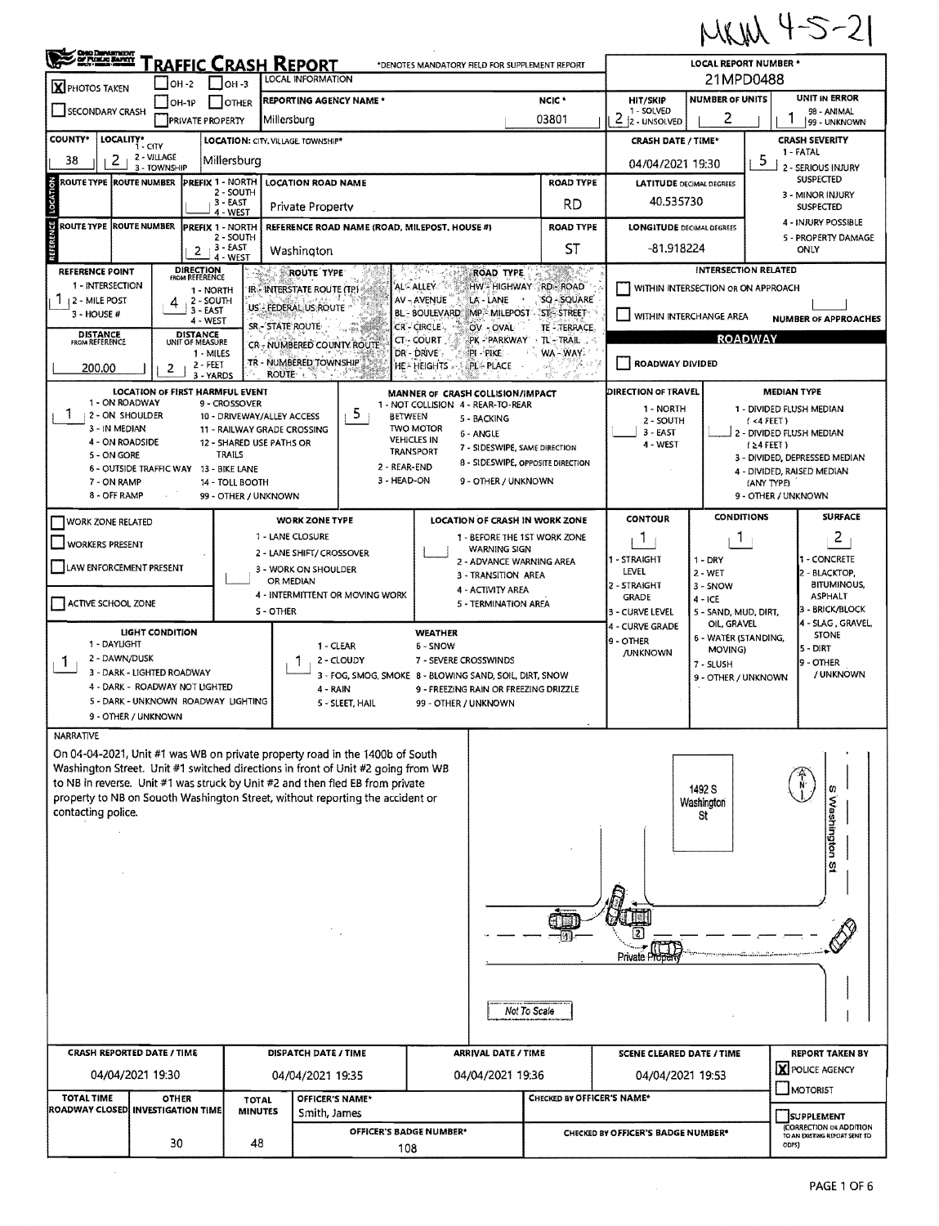$MKN + 5-21$ 

| <b>CHO DENATION</b>                                                                                                                                   |                        |                                                |                                                         |                                                                                                                                                                  |                                        |                                                                                                                      |                                                   |                                                                |                                                                                                         | トッピルヘイ                                                                                 |                             |                                      |  |  |  |
|-------------------------------------------------------------------------------------------------------------------------------------------------------|------------------------|------------------------------------------------|---------------------------------------------------------|------------------------------------------------------------------------------------------------------------------------------------------------------------------|----------------------------------------|----------------------------------------------------------------------------------------------------------------------|---------------------------------------------------|----------------------------------------------------------------|---------------------------------------------------------------------------------------------------------|----------------------------------------------------------------------------------------|-----------------------------|--------------------------------------|--|--|--|
| RAFFIC CRASH REPORT<br>*DENOTES MANDATORY FIELD FOR SUPPLEMENT REPORT<br><b>LOCAL INFORMATION</b><br>$ OH - 2 $<br>$I$ OH -3<br><b>X</b> PHOTOS TAKEN |                        |                                                |                                                         |                                                                                                                                                                  |                                        |                                                                                                                      |                                                   |                                                                |                                                                                                         | <b>LOCAL REPORT NUMBER *</b><br>21MPD0488                                              |                             |                                      |  |  |  |
| <b>REPORTING AGENCY NAME *</b><br>NCIC <sup>+</sup><br>$IOH-1P$<br><b>OTHER</b><br>SECONDARY CRASH                                                    |                        |                                                |                                                         |                                                                                                                                                                  |                                        |                                                                                                                      |                                                   |                                                                | HIT/SKIP<br>1 - SOLVED                                                                                  | <b>NUMBER OF UNITS</b>                                                                 |                             | UNIT IN ERROR<br>98 ANIMAL           |  |  |  |
| 03801<br>Millersburg<br><b>PRIVATE PROPERTY</b><br><b>COUNTY*</b>                                                                                     |                        |                                                |                                                         |                                                                                                                                                                  |                                        |                                                                                                                      |                                                   |                                                                |                                                                                                         | 2<br>2<br>2 - UNSOLVED<br>99 - UNKNOWN                                                 |                             |                                      |  |  |  |
| LOCALITY*<br>LOCATION: CITY, VILLAGE, TOWNSHIP*<br>i - CITY<br>2 - VILLAGE<br>2<br>38<br>Millersburg                                                  |                        |                                                |                                                         |                                                                                                                                                                  |                                        |                                                                                                                      |                                                   |                                                                |                                                                                                         | <b>CRASH SEVERITY</b><br><b>CRASH DATE / TIME*</b><br>1 FATAL<br>5<br>04/04/2021 19:30 |                             |                                      |  |  |  |
| 3 - TOWNSHIP<br>ROUTE TYPE ROUTE NUMBER<br><b>PREFIX 1 - NORTH</b><br><b>LOCATION ROAD NAME</b>                                                       |                        |                                                |                                                         |                                                                                                                                                                  |                                        |                                                                                                                      |                                                   |                                                                | <b>LATITUDE DECIMAL DEGREES</b>                                                                         | 2 - SERIOUS INJURY<br>SUSPECTED                                                        |                             |                                      |  |  |  |
| <b>NOLTVOO1</b>                                                                                                                                       |                        | 2 - SOUTH<br>3 - EAST                          |                                                         | Private Property                                                                                                                                                 |                                        |                                                                                                                      |                                                   | <b>ROAD TYPE</b><br>RD                                         | 40.535730                                                                                               |                                                                                        |                             | 3 - MINOR INJURY<br><b>SUSPECTED</b> |  |  |  |
| ROUTE TYPE ROUTE NUMBER                                                                                                                               |                        | 4 - WEST<br><b>PREFIX 1 - NORTH</b>            |                                                         | REFERENCE ROAD NAME (ROAD, MILEPOST, HOUSE #)                                                                                                                    |                                        |                                                                                                                      |                                                   | <b>ROAD TYPE</b>                                               | 4 - INJURY POSSIBLE<br><b>LONGITUDE DECIMAL DEGREES</b>                                                 |                                                                                        |                             |                                      |  |  |  |
| ERENCE                                                                                                                                                |                        | 2 - SOUTH<br>3 - EAST<br>2                     |                                                         | Washington                                                                                                                                                       |                                        |                                                                                                                      |                                                   | <b>ST</b>                                                      | -81.918224                                                                                              |                                                                                        |                             | 5 - PROPERTY DAMAGE<br>ONLY          |  |  |  |
| <b>REFERENCE POINT</b>                                                                                                                                |                        | 4 - WEST<br><b>DIRECTION</b><br>FROM REFERENCE |                                                         | <b>ROUTE TYPE</b>                                                                                                                                                |                                        |                                                                                                                      | <b>ROAD TYPE</b>                                  |                                                                |                                                                                                         |                                                                                        | <b>INTERSECTION RELATED</b> |                                      |  |  |  |
| 1 - INTERSECTION<br>12 - MILE POST                                                                                                                    | 4                      | 1 - NORTH<br>2 - SOUTH                         |                                                         | IR - INTERSTATE ROUTE (TP)                                                                                                                                       | ALC ALLEY CO<br>AV-AVENUE              |                                                                                                                      | LA - LANE                                         | HW HIGHWAY RD-ROAD<br><b>SQ - SQUARE</b>                       |                                                                                                         | WITHIN INTERSECTION OR ON APPROACH                                                     |                             |                                      |  |  |  |
| $3 - HOUSE H$                                                                                                                                         |                        | 3 - EAST<br>4 - WEST                           |                                                         | US - FEDERAL US ROUTE<br>SR - STATE ROUTE                                                                                                                        |                                        |                                                                                                                      |                                                   | BL-BOULEVARD MP-MILEPOST ST-STREET                             | WITHIN INTERCHANGE AREA                                                                                 |                                                                                        |                             | <b>NUMBER OF APPROACHES</b>          |  |  |  |
| <b>DISTANCE</b><br>FROM REFERENCE                                                                                                                     |                        | <b>DISTANCE</b><br>UNIT OF MEASURE             |                                                         | CR- NUMBERED COUNTY ROUTE                                                                                                                                        | CR - CIRCLE<br>CT-COURT                |                                                                                                                      | OV OVAL<br>PK - PARKWAY                           | <b>TE - TERRACE</b><br>√TL'⊷TRAIL ∴≤                           |                                                                                                         |                                                                                        | <b>ROADWAY</b>              |                                      |  |  |  |
| 200.00                                                                                                                                                | 2                      | 1 - MILES<br>$2 - FEET$                        |                                                         | TR - NUMBERED TOWNSHIP<br>ROUTE & S                                                                                                                              | DR - DRIVE<br>HE - HEIGHTS             |                                                                                                                      | PI - PIKE<br><b>PL- PLACE</b>                     | WA-WAY.<br>$\sim \lambda^2$                                    | ROADWAY DIVIDED                                                                                         |                                                                                        |                             |                                      |  |  |  |
|                                                                                                                                                       |                        | 3 - YARDS<br>LOCATION OF FIRST HARMFUL EVENT   |                                                         |                                                                                                                                                                  |                                        |                                                                                                                      | MANNER OF CRASH COLLISION/IMPACT                  |                                                                | <b>DIRECTION OF TRAVEL</b>                                                                              |                                                                                        | <b>MEDIAN TYPE</b>          |                                      |  |  |  |
| 1 - ON ROADWAY<br>٦.<br>2 - ON SHOULDER                                                                                                               |                        | 9 - CROSSOVER                                  | 10 - DRIVEWAY/ALLEY ACCESS                              | 5                                                                                                                                                                | <b>BETWEEN</b>                         |                                                                                                                      | 1 - NOT COLLISION 4 - REAR-TO-REAR<br>5 - BACKING |                                                                | 1 - NORTH<br>2 - SOUTH                                                                                  |                                                                                        | $($ <4 FEET)                | 1 - DIVIDED FLUSH MEDIAN             |  |  |  |
| 3 - IN MEDIAN<br>4 - ON ROADSIDE                                                                                                                      |                        |                                                | 11 - RAILWAY GRADE CROSSING<br>12 - SHARED USE PATHS OR |                                                                                                                                                                  | <b>TWO MOTOR</b><br><b>VEHICLES IN</b> |                                                                                                                      | 6 - ANGLE                                         |                                                                | $3 - EAST$                                                                                              |                                                                                        |                             | 2 - DIVIDED FLUSH MEDIAN             |  |  |  |
| 5 - ON GORE                                                                                                                                           |                        | <b>TRAILS</b>                                  |                                                         |                                                                                                                                                                  | <b>TRANSPORT</b>                       |                                                                                                                      | 7 - SIDESWIPE, SAME DIRECTION                     | 8 - SIDESWIPE, OPPOSITE DIRECTION                              | 4 - WEST                                                                                                |                                                                                        | $(24$ FEET)                 | 3 - DIVIDED, DEPRESSED MEDIAN        |  |  |  |
| 6 - OUTSIDE TRAFFIC WAY 13 - BIKE LANE<br>7 - ON RAMP                                                                                                 |                        | 14 - TOLL BOOTH                                |                                                         |                                                                                                                                                                  | 2 - REAR-END<br>3 - HEAD-ON            |                                                                                                                      | 9 - OTHER / UNKNOWN                               |                                                                |                                                                                                         |                                                                                        | (ANY TYPE)                  | 4 - DIVIDED, RAISED MEDIAN           |  |  |  |
| 8 - OFF RAMP                                                                                                                                          | 99 - OTHER / UNKNOWN   |                                                |                                                         | 9 - OTHER / UNKNOWN                                                                                                                                              |                                        |                                                                                                                      |                                                   |                                                                |                                                                                                         |                                                                                        |                             |                                      |  |  |  |
| <b>WORK ZONE RELATED</b>                                                                                                                              |                        |                                                |                                                         | <b>WORK ZONE TYPE</b><br>1 - LANE CLOSURE                                                                                                                        |                                        |                                                                                                                      |                                                   | LOCATION OF CRASH IN WORK ZONE<br>1 - BEFORE THE 1ST WORK ZONE | <b>CONTOUR</b>                                                                                          | <b>CONDITIONS</b><br>1                                                                 |                             | <b>SURFACE</b><br>2                  |  |  |  |
| <b>WORKERS PRESENT</b>                                                                                                                                |                        |                                                |                                                         | 2 - LANE SHIFT/ CROSSOVER                                                                                                                                        |                                        |                                                                                                                      | <b>WARNING SIGN</b><br>2 - ADVANCE WARNING AREA   |                                                                | L<br>1 - STRAIGHT                                                                                       | 1 - DRY                                                                                |                             | - CONCRETE                           |  |  |  |
| LAW ENFORCEMENT PRESENT                                                                                                                               |                        |                                                |                                                         | 3 - WORK ON SHOULDER<br>OR MEDIAN                                                                                                                                |                                        |                                                                                                                      | 3 - TRANSITION AREA                               |                                                                | LEVEL                                                                                                   | $2 - WET$                                                                              |                             | - BLACKTOP,<br><b>BITUMINOUS,</b>    |  |  |  |
| ACTIVE SCHOOL ZONE                                                                                                                                    |                        |                                                |                                                         | 4 - INTERMITTENT OR MOVING WORK                                                                                                                                  |                                        |                                                                                                                      | 4 - ACTIVITY AREA<br>5 - TERMINATION AREA         |                                                                | 2 - STRAIGHT<br><b>GRADE</b>                                                                            | $3 - SNOW$<br>$4 - ICE$                                                                |                             | <b>ASPHALT</b>                       |  |  |  |
|                                                                                                                                                       | <b>LIGHT CONDITION</b> |                                                | S - OTHER                                               |                                                                                                                                                                  |                                        | <b>WEATHER</b>                                                                                                       |                                                   |                                                                | 3 - CURVE LEVEL<br>4 - CURVE GRADE                                                                      | 5 - SAND, MUD, DIRT,<br>OIL, GRAVEL                                                    |                             | - BRICK/BLOCK<br>4 - SLAG, GRAVEL    |  |  |  |
| 1 - DAYLIGHT                                                                                                                                          |                        |                                                |                                                         | 1 - CLEAR                                                                                                                                                        |                                        | 6 - SNOW                                                                                                             |                                                   |                                                                | 9 - OTHER<br><b>/UNKNOWN</b>                                                                            | 6 - WATER (STANDING,<br>MOVING)                                                        |                             | <b>STONE</b><br>5 - DIRT             |  |  |  |
| 2 - DAWN/DUSK<br>Ŧ<br>3 - DARK - LIGHTED ROADWAY                                                                                                      |                        |                                                |                                                         | 2 - CLOUDY                                                                                                                                                       |                                        | 7 - SEVERE CROSSWINDS<br>7 - SLUSH<br>3 - FOG, SMOG, SMOKE 8 - BLOWING SAND, SOIL, DIRT, SNOW<br>9 - OTHER / UNKNOWN |                                                   |                                                                |                                                                                                         |                                                                                        | 9 - OTHER<br>/ UNKNOWN      |                                      |  |  |  |
| 4 - DARK - ROADWAY NOT LIGHTED<br>5 - DARK - UNKNOWN ROADWAY LIGHTING                                                                                 |                        |                                                |                                                         | 4 - RAIN<br>5 - SLEET, HAIL                                                                                                                                      |                                        |                                                                                                                      | 9 - FREEZING RAIN OR FREEZING DRIZZLE             |                                                                |                                                                                                         |                                                                                        |                             |                                      |  |  |  |
| 9 - OTHER / UNKNOWN                                                                                                                                   |                        |                                                |                                                         |                                                                                                                                                                  |                                        | 99 - OTHER / UNKNOWN                                                                                                 |                                                   |                                                                |                                                                                                         |                                                                                        |                             |                                      |  |  |  |
| NARRATIVE                                                                                                                                             |                        |                                                |                                                         |                                                                                                                                                                  |                                        |                                                                                                                      |                                                   |                                                                |                                                                                                         |                                                                                        |                             |                                      |  |  |  |
|                                                                                                                                                       |                        |                                                |                                                         | On 04-04-2021, Unit #1 was WB on private property road in the 1400b of South<br>Washington Street. Unit #1 switched directions in front of Unit #2 going from WB |                                        |                                                                                                                      |                                                   |                                                                |                                                                                                         |                                                                                        |                             |                                      |  |  |  |
|                                                                                                                                                       |                        |                                                |                                                         | to NB in reverse. Unit #1 was struck by Unit #2 and then fled EB from private<br>property to NB on Souoth Washington Street, without reporting the accident or   |                                        |                                                                                                                      |                                                   |                                                                |                                                                                                         | 1492 S                                                                                 |                             |                                      |  |  |  |
| contacting police.                                                                                                                                    |                        |                                                |                                                         |                                                                                                                                                                  |                                        |                                                                                                                      |                                                   |                                                                |                                                                                                         | Washington<br>St                                                                       |                             |                                      |  |  |  |
|                                                                                                                                                       |                        |                                                |                                                         |                                                                                                                                                                  |                                        |                                                                                                                      |                                                   |                                                                |                                                                                                         |                                                                                        |                             | S Washington                         |  |  |  |
|                                                                                                                                                       |                        |                                                |                                                         |                                                                                                                                                                  |                                        |                                                                                                                      |                                                   |                                                                |                                                                                                         |                                                                                        |                             | $\mathfrak{Q}$                       |  |  |  |
|                                                                                                                                                       |                        |                                                |                                                         |                                                                                                                                                                  |                                        |                                                                                                                      |                                                   |                                                                |                                                                                                         |                                                                                        |                             |                                      |  |  |  |
|                                                                                                                                                       |                        |                                                |                                                         |                                                                                                                                                                  |                                        |                                                                                                                      |                                                   |                                                                |                                                                                                         |                                                                                        |                             |                                      |  |  |  |
|                                                                                                                                                       |                        |                                                |                                                         |                                                                                                                                                                  |                                        |                                                                                                                      |                                                   |                                                                |                                                                                                         |                                                                                        |                             |                                      |  |  |  |
|                                                                                                                                                       |                        |                                                |                                                         |                                                                                                                                                                  |                                        |                                                                                                                      |                                                   |                                                                | ПF<br><b>Private Propert</b>                                                                            |                                                                                        |                             |                                      |  |  |  |
|                                                                                                                                                       |                        |                                                |                                                         |                                                                                                                                                                  |                                        |                                                                                                                      |                                                   |                                                                |                                                                                                         |                                                                                        |                             |                                      |  |  |  |
|                                                                                                                                                       |                        |                                                |                                                         |                                                                                                                                                                  |                                        |                                                                                                                      |                                                   |                                                                |                                                                                                         |                                                                                        |                             |                                      |  |  |  |
|                                                                                                                                                       |                        |                                                |                                                         |                                                                                                                                                                  |                                        |                                                                                                                      |                                                   | Not To Scale                                                   |                                                                                                         |                                                                                        |                             |                                      |  |  |  |
| <b>CRASH REPORTED DATE / TIME</b>                                                                                                                     |                        |                                                |                                                         | DISPATCH DATE / TIME                                                                                                                                             |                                        |                                                                                                                      | <b>SCENE CLEARED DATE / TIME</b>                  |                                                                |                                                                                                         | <b>REPORT TAKEN BY</b>                                                                 |                             |                                      |  |  |  |
| 04/04/2021 19:30                                                                                                                                      |                        |                                                |                                                         | ARRIVAL DATE / TIME<br>04/04/2021 19:36<br>04/04/2021 19:35                                                                                                      |                                        |                                                                                                                      |                                                   |                                                                | 04/04/2021 19:53                                                                                        |                                                                                        |                             | <b>X</b> POLICE AGENCY               |  |  |  |
| <b>TOTAL TIME</b>                                                                                                                                     | <b>OTHER</b>           |                                                | <b>TOTAL</b>                                            | OFFICER'S NAME*                                                                                                                                                  |                                        |                                                                                                                      |                                                   | CHECKED BY OFFICER'S NAME*                                     |                                                                                                         |                                                                                        | MOTORIST                    |                                      |  |  |  |
| ROADWAY CLOSED INVESTIGATION TIME                                                                                                                     |                        |                                                | <b>MINUTES</b>                                          | Smith, James                                                                                                                                                     |                                        |                                                                                                                      |                                                   |                                                                |                                                                                                         |                                                                                        |                             | <b>SUPPLEMENT</b>                    |  |  |  |
|                                                                                                                                                       | 30                     |                                                | 48                                                      |                                                                                                                                                                  | OFFICER'S BADGE NUMBER*<br>108         |                                                                                                                      |                                                   |                                                                | (CORRECTION OR ADDITION<br>CHECKED BY OFFICER'S BADGE NUMBER*<br>TO AN EXISTING REPORT SENT TO<br>ODPS) |                                                                                        |                             |                                      |  |  |  |
|                                                                                                                                                       |                        |                                                |                                                         |                                                                                                                                                                  |                                        |                                                                                                                      |                                                   |                                                                |                                                                                                         |                                                                                        |                             |                                      |  |  |  |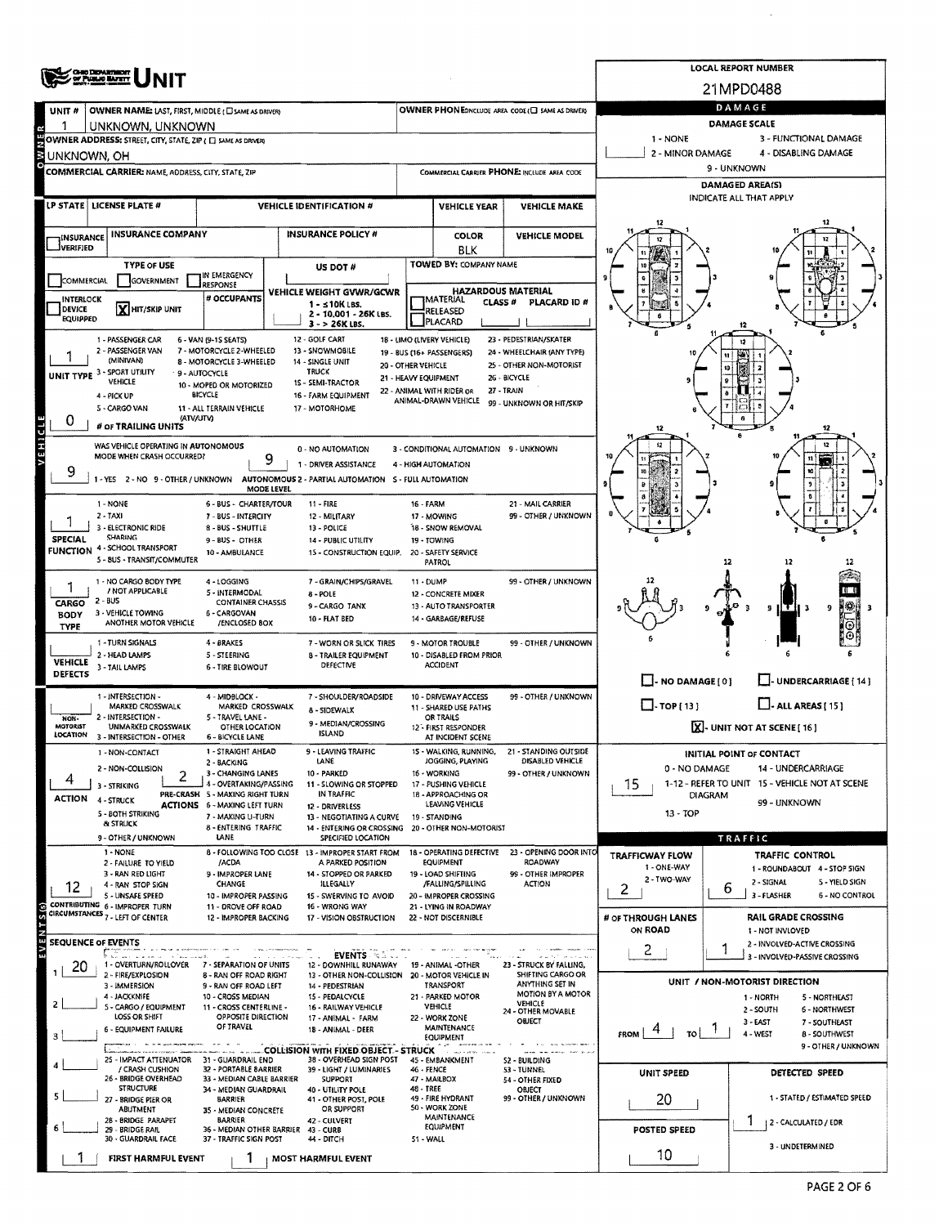| <b>CHIO DEPARTMENT</b><br>OF PUBLIC BATELY                                       |                                                                        | <b>LOCAL REPORT NUMBER</b>                                                                 |                                                   |                     |                                                            |                                          |                                                                      |  |  |  |  |
|----------------------------------------------------------------------------------|------------------------------------------------------------------------|--------------------------------------------------------------------------------------------|---------------------------------------------------|---------------------|------------------------------------------------------------|------------------------------------------|----------------------------------------------------------------------|--|--|--|--|
|                                                                                  |                                                                        | 21MPD0488                                                                                  |                                                   |                     |                                                            |                                          |                                                                      |  |  |  |  |
| <b>OWNER NAME: LAST, FIRST, MIDDLE (C) SAME AS DRIVER)</b><br>UNIT #             |                                                                        |                                                                                            |                                                   |                     | OWNER PHONE:INCLUDE AREA CODE (C) SAME AS DRIVER:          |                                          | DAMAGE                                                               |  |  |  |  |
| UNKNOWN, UNKNOWN<br>OWNER ADDRESS: STREET, CITY, STATE, ZIP ( C) SAME AS DRIVER! |                                                                        |                                                                                            |                                                   |                     |                                                            | $1 - NONE$                               | DAMAGE SCALE<br>3 - FUNCTIONAL DAMAGE                                |  |  |  |  |
| UNKNOWN, OH                                                                      |                                                                        |                                                                                            |                                                   |                     |                                                            | 2 - MINOR DAMAGE<br>4 - DISABLING DAMAGE |                                                                      |  |  |  |  |
| COMMERCIAL CARRIER: NAME, ADDRESS, CITY, STATE, ZIP                              |                                                                        |                                                                                            |                                                   |                     | COMMERCIAL CARRIER PHONE: INCLUDE AREA CODE                | 9 - UNKNOWN                              |                                                                      |  |  |  |  |
|                                                                                  |                                                                        |                                                                                            |                                                   |                     |                                                            |                                          | <b>DAMAGED AREA(S)</b><br>INDICATE ALL THAT APPLY                    |  |  |  |  |
| LP STATE   LICENSE PLATE #                                                       |                                                                        | <b>VEHICLE IDENTIFICATION #</b>                                                            |                                                   | <b>VEHICLE YEAR</b> | <b>VEHICLE MAKE</b>                                        |                                          |                                                                      |  |  |  |  |
| <b>INSURANCE COMPANY</b><br>INSURANCE                                            |                                                                        | <b>INSURANCE POLICY #</b>                                                                  |                                                   | <b>COLOR</b>        | <b>VEHICLE MODEL</b>                                       |                                          |                                                                      |  |  |  |  |
| <b>İVERIFIED</b>                                                                 |                                                                        |                                                                                            | <b>TOWED BY: COMPANY NAME</b>                     | <b>BLK</b>          |                                                            |                                          |                                                                      |  |  |  |  |
| <b>TYPE OF USE</b><br><b>COMMERCIAL</b><br>GOVERNMENT                            | IN EMERGENCY                                                           | US DOT #                                                                                   |                                                   |                     |                                                            |                                          |                                                                      |  |  |  |  |
| <b>INTERLOCK</b>                                                                 | RESPONSE<br># OCCUPANTS                                                | VEHICLE WEIGHT GVWR/GCWR<br>$1 - 10K$ LBS.                                                 | IMATERIAL                                         | <b>CLASS#</b>       | <b>HAZARDOUS MATERIAL</b><br>PLACARD ID #                  |                                          |                                                                      |  |  |  |  |
| <b>Y HIT/SKIP UNIT</b><br><b>DEVICE</b><br><b>EQUIPPED</b>                       |                                                                        | 2 - 10,001 - 26K LBS.<br>$3 - 26K$ LBS.                                                    | RELEASED<br>PLACARD                               |                     |                                                            |                                          |                                                                      |  |  |  |  |
| 1 - PASSENGER CAR                                                                | 6 - VAN (9-15 SEATS)                                                   | 12 - GOLF CART                                                                             | 18 - LIMO (LIVERY VEHICLE)                        |                     | 23 - PEDESTRIAN/SKATER                                     |                                          |                                                                      |  |  |  |  |
| 2 - PASSENGER VAN<br>(MINIVAN)                                                   | 7 - MOTORCYCLE 2-WHEELED<br>8 - MOTORCYCLE 3-WHEELED                   | 13 - SNOWMOBILE<br>14 - SINGLE UNIT                                                        | 19 - BUS (16+ PASSENGERS)<br>20 - OTHER VEHICLE   |                     | 24 - WHEELCHAIR (ANY TYPE)<br>25 - OTHER NON-MOTORIST      |                                          |                                                                      |  |  |  |  |
| UNIT TYPE 3 - SPORT UTILITY<br>VEHICLE                                           | 9 - AUTOCYCLE<br>10 - MOPED OR MOTORIZED                               | TRUCK<br><b>15 - SEMI-TRACTOR</b>                                                          | 21 - HEAVY EQUIPMENT                              |                     | 26 - BICYCLE                                               |                                          |                                                                      |  |  |  |  |
| 4 - PICK UP                                                                      | BICYCLE                                                                | 16 - FARM EQUIPMENT                                                                        | 22 - ANIMAL WITH RIDER OR<br>ANIMAL-DRAWN VEHICLE |                     | 27 - TRAIN<br>99 - UNKNOWN OR HIT/SKIP                     |                                          |                                                                      |  |  |  |  |
| 5 - CARGO VAN<br>0<br># OF TRAILING UNITS                                        | 11 - ALL TERRAIN VEHICLE<br>(ATV/UTV)                                  | 17 - MOTORHOME                                                                             |                                                   |                     |                                                            |                                          | A                                                                    |  |  |  |  |
| VEHICLE<br>WAS VEHICLE OPERATING IN AUTONOMOUS                                   |                                                                        |                                                                                            |                                                   |                     |                                                            | 12                                       | 12                                                                   |  |  |  |  |
| MODE WHEN CRASH OCCURRED?                                                        | 9                                                                      | 0 - NO AUTOMATION<br>1 - DRIVER ASSISTANCE                                                 | 4 - HIGH AUTOMATION                               |                     | 3 - CONDITIONAL AUTOMATION 9 - UNKNOWN                     |                                          |                                                                      |  |  |  |  |
| 9<br>1 - YES 2 - NO 9 - OTHER / UNKNOWN                                          |                                                                        | AUTONOMOUS 2 - PARTIAL AUTOMATION S - FULL AUTOMATION                                      |                                                   |                     |                                                            |                                          |                                                                      |  |  |  |  |
| $1 - NONE$                                                                       | <b>MODE LEVEL</b><br>6 - BUS - CHARTER/TOUR                            | 11 - FIRE                                                                                  | 16 - FARM                                         |                     | 21 - MAIL CARRIER                                          |                                          |                                                                      |  |  |  |  |
| $2 - TAXI$                                                                       | 7 - BUS - INTERCITY                                                    | 12 - MILITARY                                                                              | 17 - MOWING                                       |                     | 99 - OTHER / UNKNOWN                                       |                                          |                                                                      |  |  |  |  |
| 3 - ELECTRONIC RIDE<br><b>SHARING</b><br><b>SPECIAL</b>                          | 8 - BUS - SHUTTLE<br>9 - BUS - OTHER                                   | 13 - POLICE<br>14 - PUBLIC UTILITY                                                         | 18 - SNOW REMOVAL<br>19 - TOWING                  |                     |                                                            |                                          |                                                                      |  |  |  |  |
| FUNCTION 4 - SCHOOL TRANSPORT<br>5 - BUS - TRANSIT/COMMUTER                      | 10 - AMBULANCE                                                         | 15 - CONSTRUCTION EQUIP. 20 - SAFETY SERVICE                                               | PATROL                                            |                     |                                                            |                                          | 12<br>12                                                             |  |  |  |  |
| 1 - NO CARGO 8ODY TYPE                                                           | 4 - LOGGING                                                            | 7 - GRAIN/CHIPS/GRAVEL                                                                     | 99 - OTHER / UNKNOWN<br>11 - DUMP                 |                     |                                                            |                                          |                                                                      |  |  |  |  |
| / NOT APPLICABLE<br>$2 - BUS$<br>CARGO                                           | 5 - INTERMODAL                                                         | 8 - POLE<br><b>CONTAINER CHASSIS</b><br>9 - CARGO TANK                                     |                                                   |                     |                                                            |                                          |                                                                      |  |  |  |  |
| 3 - VEHICLE TOWING<br><b>BODY</b><br>ANOTHER MOTOR VEHICLE                       | 6 - CARGOVAN<br>/ENCLOSED BOX                                          | 10 - FLAT BED                                                                              | 13 - AUTO TRANSPORTER<br>14 - GARBAGE/REFUSE      |                     |                                                            |                                          | 9<br>9                                                               |  |  |  |  |
| <b>TYPE</b><br>1 - TURN SIGNALS                                                  | 4 - BRAKES                                                             | 7 - WORN OR SLICK TIRES                                                                    | 9 - MOTOR TROUBLE                                 |                     | 99 - OTHER / UNKNOWN                                       |                                          |                                                                      |  |  |  |  |
| 2 - HEAD LAMPS<br><b>VEHICLE</b>                                                 | 5 - STEERING                                                           | <b>B - TRAILER EQUIPMENT</b><br>DEFECTIVE                                                  | 10 - DISABLED FROM PRIOR<br><b>ACCIDENT</b>       |                     |                                                            |                                          |                                                                      |  |  |  |  |
| 3 - TAIL LAMPS<br><b>DEFECTS</b>                                                 | 6 - TIRE BLOWOUT                                                       |                                                                                            |                                                   |                     |                                                            | $\Box$ - NO DAMAGE [ 0 ]                 | UNDERCARRIAGE [ 14 ]                                                 |  |  |  |  |
| 1 - INTERSECTION -<br><b>MARKED CROSSWALK</b>                                    | 4 - MIDBLOCK -<br>MARKED CROSSWALK                                     | 7 - SHOULDER/ROADSIDE                                                                      | 10 - DRIVEWAY ACCESS                              |                     | 99 - OTHER / UNKNOWN                                       | $\Box$ -TOP(13)                          | $\Box$ - ALL AREAS [ 15 ]                                            |  |  |  |  |
| 2 - INTERSECTION -<br>NON-<br>MOTORIST<br>UNMARKED CROSSWALK                     | 5 - TRAVEL LANE -<br>OTHER LOCATION                                    | 8 - SIDEWALK<br>9 - MEDIAN/CROSSING                                                        | 11 - SHARED USE PATHS<br>OR TRAILS                |                     |                                                            | X-UNIT NOT AT SCENE [16]                 |                                                                      |  |  |  |  |
| <b>LOCATION</b><br>3 - INTERSECTION - OTHER                                      | 6 - BICYCLE LANE                                                       | <b>ISLAND</b>                                                                              | 12 - FIRST RESPONDER<br>AT INCIDENT SCENE         |                     |                                                            |                                          |                                                                      |  |  |  |  |
| 1 - NON-CONTACT                                                                  | 1 - STRAIGHT AHEAD<br>2 - BACKING                                      | 9 - LEAVING TRAFFIC<br>LANE                                                                | 15 - WALKING, RUNNING,<br>JOGGING, PLAYING        |                     | 21 - STANDING OUTSIDE<br>DISABLED VEHICLE                  |                                          | INITIAL POINT OF CONTACT                                             |  |  |  |  |
| 2 - NON-COLLISION<br>2<br>4<br>3 - STRIKING                                      | 3 - CHANGING LANES<br>4 - OVERTAKING/PASSING                           | 10 - PARKED<br>11 - SLOWING OR STOPPED                                                     | 16 - WORKING<br>17 - PUSHING VEHICLE              |                     | 99 - OTHER / UNKNOWN                                       | 0 - NO DAMAGE<br>15.                     | 14 - UNDERCARRIAGE<br>1-12 - REFER TO UNIT 15 - VEHICLE NOT AT SCENE |  |  |  |  |
| <b>ACTION</b><br>4 - STRUCK                                                      | PRE-CRASH 5 - MAKING RIGHT TURN<br><b>ACTIONS 6 - MAXING LEFT TURN</b> | IN TRAFFIC<br>12 - DRIVERLESS                                                              | 18 - APPROACHING OR<br><b>LEAVING VEHICLE</b>     |                     |                                                            |                                          | DIAGRAM<br>99 - UNKNOWN                                              |  |  |  |  |
| 5 - BOTH STRIKING<br>& STRUCK                                                    | 7 - MAKING U-TURN                                                      | 13 - NEGOTIATING A CURVE                                                                   | 19 - STANDING                                     |                     |                                                            | 13 - TOP                                 |                                                                      |  |  |  |  |
| 9 - OTHER / UNKNOWN                                                              | 8 - ENTERING TRAFFIC<br>LANE                                           | 14 - ENTERING OR CROSSING 20 - OTHER NON-MOTORIST<br>SPECIFIED LOCATION                    |                                                   |                     |                                                            |                                          | TRAFFIC                                                              |  |  |  |  |
| 1 - NONE<br>2 - FAILURE TO YIELD                                                 | /ACDA                                                                  | 8 - FOLLOWING TOO CLOSE 13 - IMPROPER START FROM<br>A PARKED POSITION                      | <b>EQUIPMENT</b>                                  |                     | 18 - OPERATING DEFECTIVE 23 - OPENING DOOR INTO<br>ROADWAY | <b>TRAFFICWAY FLOW</b><br>1 - ONE-WAY    | <b>TRAFFIC CONTROL</b>                                               |  |  |  |  |
| 3 - RAN RED LIGHT<br>4 - RAN STOP SIGN<br>12                                     | 9 - IMPROPER LANE<br>CHANGE                                            | 14 - STOPPED OR PARKED<br>ILLEGALLY                                                        | 19 - LOAD SHIFTING<br>/FALLING/SPILLING           |                     | 99 - OTHER IMPROPER<br><b>ACTION</b>                       | 2 - TWO-WAY                              | 1 - ROUNDABOUT 4 - STOP SIGN<br>2 - SIGNAL<br>5 - YIELD SIGN         |  |  |  |  |
| 5 - UNSAFE SPEED<br>CONTRIBUTING 6 - IMPROPER TURN                               | 10 - IMPROPER PASSING<br>11 - DROVE OFF ROAD                           | 15 - SWERVING TO AVOID<br>16 - WRONG WAY                                                   | 20 - IMPROPER CROSSING<br>21 - LYING IN ROADWAY   |                     |                                                            | 2                                        | ь<br>3-FLASHER<br><b>6 - NO CONTROL</b>                              |  |  |  |  |
| EVENTS <sub>(5)</sub><br>CIRCUMSTANCES 7 - LEFT OF CENTER                        | 12 - IMPROPER BACKING                                                  | 17 - VISION OBSTRUCTION                                                                    | 22 - NOT DISCERNIBLE                              |                     |                                                            | # OF THROUGH LANES                       | <b>RAIL GRADE CROSSING</b>                                           |  |  |  |  |
| SEQUENCE OF EVENTS                                                               |                                                                        |                                                                                            |                                                   |                     |                                                            | ON ROAD                                  | 1 - NOT INVLOVED<br>2 - INVOLVED-ACTIVE CROSSING                     |  |  |  |  |
| 1 - OVERTURN/ROLLOVER<br>20                                                      | 7 - SEPARATION OF UNITS                                                | <b>EVENTS SALL</b><br>12 - DOWNHILL RUNAWAY                                                | 19 - ANIMAL -OTHER                                |                     | 23 - STRUCK BY FALLING,                                    | 2                                        | 3 - INVOLVED-PASSIVE CROSSING                                        |  |  |  |  |
| 2 - FIRE/EXPLOSION<br>3 - IMMERSION                                              | 8 - RAN OFF ROAD RIGHT<br>9 - RAN OFF ROAD LEFT                        | 13 - OTHER NON-COLLISION<br>14 - PEDESTRIAN                                                | 20 - MOTOR VEHICLE IN<br><b>TRANSPORT</b>         |                     | SHIFTING CARGO OR<br>ANYTHING SET IN                       |                                          | UNIT / NON-MOTORIST DIRECTION                                        |  |  |  |  |
| 4 - JACKKNIFE<br>5 - CARGO / EQUIPMENT                                           | 10 - CROSS MEDIAN<br>11 - CROSS CENTERLINE -                           | 15 - PEDALCYCLE<br>16 - RAILWAY VEHICLE                                                    | 21 - PARKED MOTOR<br><b>VEHICLE</b>               |                     | MOTION BY A MOTOR<br>VEHICLE                               |                                          | 1 - NORTH<br>5 - NORTHEAST<br>2 - SOUTH<br>6 - NORTHWEST             |  |  |  |  |
| LOSS OR SHIFT<br>6 - EQUIPMENT FAILURE                                           | OPPOSITE DIRECTION<br>OF TRAVEL                                        | 17 - ANIMAL - FARM<br>18 - ANIMAL - DEER                                                   | 22 - WORK ZONE<br><b>MAINTENANCE</b>              |                     | 24 - OTHER MOVABLE<br>OBJECT                               |                                          | 3 - EAST<br>7 - SOUTHEAST                                            |  |  |  |  |
|                                                                                  |                                                                        |                                                                                            | EQUIPMENT                                         |                     |                                                            | TO I                                     | 4 - WEST<br>8 - SOUTHWEST<br>9 - OTHER / UNKNOWN                     |  |  |  |  |
| 25 - IMPACT ATTENUATOR<br>/ CRASH CUSHION                                        | 31 - GUARDRAIL END<br>32 - PORTABLE BARRIER                            | COLLISION WITH FIXED OBJECT - STRUCK<br>38 - OVERHEAD SIGN POST<br>39 - LIGHT / LUMINARIES | 45 - EMBANKMENT<br>46 - FENCE                     |                     | 52 - BUILDING<br>53 - TUNNEL                               |                                          |                                                                      |  |  |  |  |
| 26 - BRIDGE OVERHEAD<br><b>STRUCTURE</b>                                         | 33 - MEDIAN CABLE BARRIER                                              | <b>SUPPORT</b>                                                                             | 47 - MAILBOX<br>48 - TREE                         |                     | 54 - OTHER FIXED                                           | UNIT SPEED                               | DETECTED SPEED                                                       |  |  |  |  |
| 27 - BRIDGE PIER OR                                                              | 34 - MEDIAN GUARDRAIL<br><b>BARRIER</b>                                | 40 - UTILITY POLE<br>41 - OTHER POST, POLE<br>OR SUPPORT                                   | 49 - FIRE HYDRANT<br>50 - WORK ZONE               |                     | OBJECT<br>99 - OTHER / UNKNOWN                             | 20                                       | 1 - STATED / ESTIMATED SPEED                                         |  |  |  |  |
| ABUTMENT<br>28 - BRIDGE PARAPET                                                  | 35 - MEDIAN CONCRETE<br><b>BARRIER</b>                                 | 42 - CULVERT                                                                               | MAINTENANCE<br><b>EQUIPMENT</b>                   |                     |                                                            |                                          | 1<br>2 - CALCULATED / EDR                                            |  |  |  |  |
| 29 - BRIDGE RAIL<br>30 - GUARDRAIL FACE                                          | 36 - MEDIAN OTHER BARRIER 43 - CURB<br>37 - TRAFFIC SIGN POST          | 44 - DITCH                                                                                 | 51 - WALL                                         |                     |                                                            | POSTED SPEED                             | 3 - UNDETERMINED                                                     |  |  |  |  |
| FIRST HARMFUL EVENT                                                              |                                                                        | MOST HARMFUL EVENT                                                                         |                                                   |                     |                                                            | 10                                       |                                                                      |  |  |  |  |

 $\hat{\mathcal{A}}$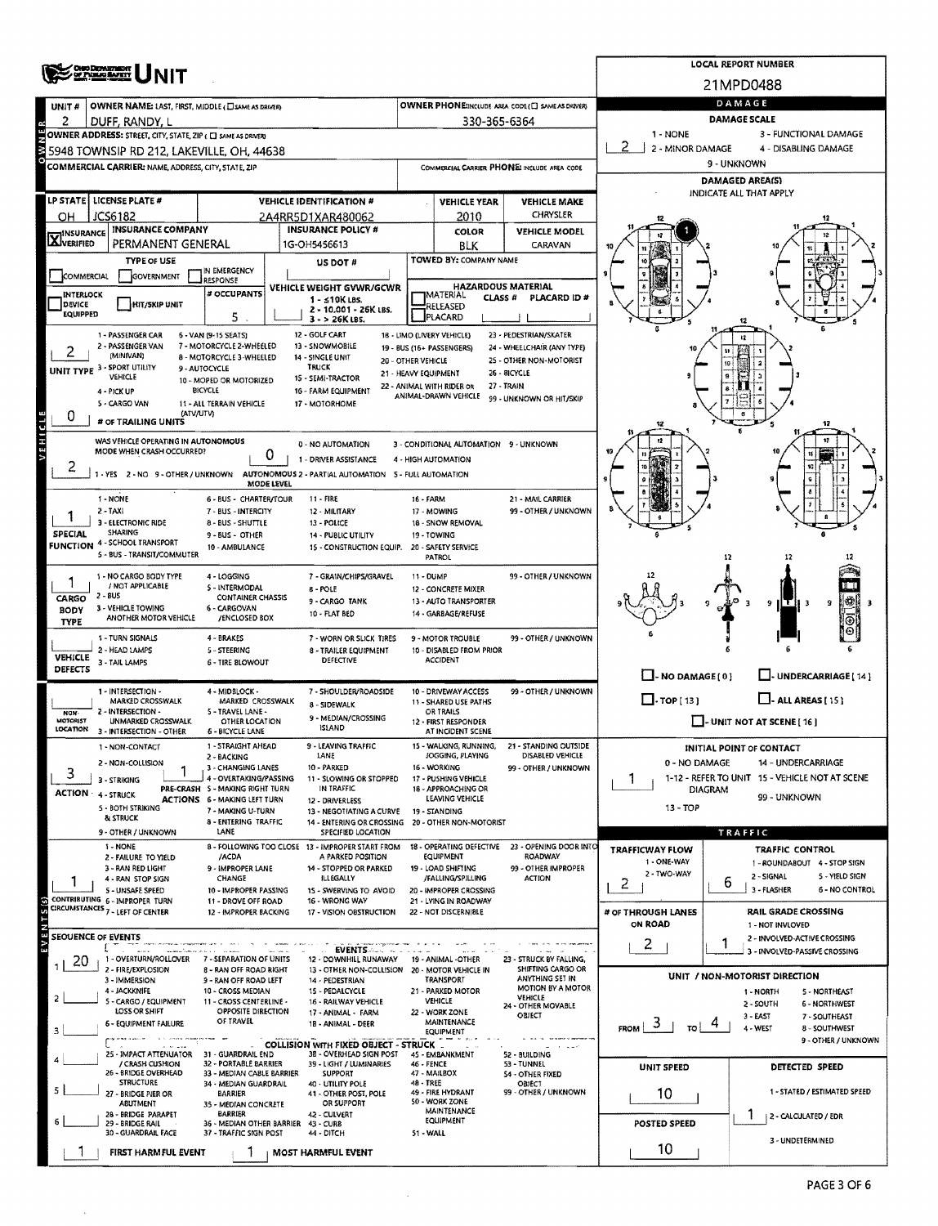| OND DEPARTMENT                                                                       | <b>NIT</b>                                                              | <b>LOCAL REPORT NUMBER</b>                                                                                        |                                               |                                                   |                                                          |                                   |                                                                      |  |  |  |  |
|--------------------------------------------------------------------------------------|-------------------------------------------------------------------------|-------------------------------------------------------------------------------------------------------------------|-----------------------------------------------|---------------------------------------------------|----------------------------------------------------------|-----------------------------------|----------------------------------------------------------------------|--|--|--|--|
|                                                                                      |                                                                         | 21MPD0488                                                                                                         |                                               |                                                   |                                                          |                                   |                                                                      |  |  |  |  |
| UNIT #                                                                               | OWNER NAME: LAST, FIRST, MIDDLE (CISAME AS DRIVER)                      |                                                                                                                   | DAMAGE                                        |                                                   |                                                          |                                   |                                                                      |  |  |  |  |
| 2<br>DUFF, RANDY, L<br>OWNER ADDRESS: STREET, CITY, STATE, ZIP ( C ] SAME AS DRIVERY |                                                                         | 330-365-6364                                                                                                      | 1 - NONE                                      | <b>DAMAGE SCALE</b><br>3 - FUNCTIONAL DAMAGE      |                                                          |                                   |                                                                      |  |  |  |  |
| 5948 TOWNSIP RD 212, LAKEVILLE, OH, 44638                                            |                                                                         |                                                                                                                   | 2<br>2 - MINOR DAMAGE<br>4 - DISABLING DAMAGE |                                                   |                                                          |                                   |                                                                      |  |  |  |  |
| COMMERCIAL CARRIER: NAME, ADDRESS, CITY, STATE, ZIP                                  |                                                                         | 9 - UNKNOWN                                                                                                       |                                               |                                                   |                                                          |                                   |                                                                      |  |  |  |  |
|                                                                                      |                                                                         | <b>DAMAGED AREA(S)</b>                                                                                            |                                               |                                                   |                                                          |                                   |                                                                      |  |  |  |  |
| LP STATE   LICENSE PLATE #                                                           |                                                                         | <b>VEHICLE IDENTIFICATION #</b>                                                                                   |                                               | <b>VEHICLE YEAR</b>                               | <b>VEHICLE MAKE</b>                                      |                                   | INDICATE ALL THAT APPLY                                              |  |  |  |  |
| JCS6182<br>ОН<br><b>INSURANCE COMPANY</b>                                            |                                                                         | 2A4RR5D1XAR480062<br><b>INSURANCE POLICY #</b>                                                                    |                                               | 2010                                              | CHRYSLER                                                 |                                   |                                                                      |  |  |  |  |
| <b>X</b> INSURANCE                                                                   | PERMANENT GENERAL                                                       | 1G-OH5456613                                                                                                      |                                               | <b>COLOR</b><br>BLK                               | <b>VEHICLE MODEL</b><br>CARAVAN                          |                                   |                                                                      |  |  |  |  |
| <b>TYPE OF USE</b>                                                                   |                                                                         | US DOT #                                                                                                          |                                               | TOWED BY: COMPANY NAME                            |                                                          |                                   |                                                                      |  |  |  |  |
| <b>GOVERNMENT</b><br>COMMERCIAL                                                      | IN EMERGENCY<br>RESPONSE                                                |                                                                                                                   |                                               | <b>HAZARDOUS MATERIAL</b>                         |                                                          |                                   |                                                                      |  |  |  |  |
| <b>INTERLOCK</b><br>DEVICE<br><b>HIT/SKIP UNIT</b>                                   | # OCCUPANTS                                                             | VEHICLE WEIGHT GVWR/GCWR<br>1 - ≤10K LBS.                                                                         |                                               | IMATERIAL<br>CLASS #                              | PLACARD ID #                                             |                                   |                                                                      |  |  |  |  |
| EQUIPPED                                                                             | 5                                                                       | 2 - 10.001 - 26K LBS.<br>$3 - 26K$ LBS.                                                                           |                                               | RELEASED<br>PLACARD                               |                                                          |                                   |                                                                      |  |  |  |  |
| 1 - PASSENGER CAR                                                                    | 6 - VAN (9-15 SEATS)                                                    | 12 - GOLF CART                                                                                                    |                                               | 18 - LIMO (LIVERY VEHICLE)                        | 23 - PEDESTRIAN/SKATER                                   |                                   | 12                                                                   |  |  |  |  |
| 2 - PASSENGER VAN<br>(MINIVAN)                                                       | 7 - MOTORCYCLE 2-WHEELED<br>8 - MOTORCYCLE 3-WHEELED                    | 13 SNOWMOBILE<br>14 - SINGLE UNIT                                                                                 | 20 - OTHER VEHICLE                            | 19 - BUS (16+ PASSENGERS)                         | 24 - WHEELCHAIR (ANY TYPE)<br>25 - OTHER NON-MOTORIST    |                                   |                                                                      |  |  |  |  |
| UNIT TYPE 3 - SPORT UTILITY<br>VEHICLE                                               | 9 - AUTOCYCLE<br>10 - MOPED OR MOTORIZED                                | <b>TRUCK</b><br>15 - SEMI-TRACTOR                                                                                 | 21 - HEAVY EQUIPMENT                          |                                                   | 26 - 81CYCLE                                             |                                   |                                                                      |  |  |  |  |
| 4 - PICK UP                                                                          | BICYCLE                                                                 | 16 - FARM EQUIPMENT                                                                                               |                                               | 22 - ANIMAL WITH RIDER OR<br>ANIMAL-DRAWN VEHICLE | 27 - TRAIN<br>99 - UNKNOWN OR HIT/SKIP                   |                                   |                                                                      |  |  |  |  |
| 5 - CARGO VAN<br>0                                                                   | 11 - ALL TERRAIN VEHICLE<br>(ATV/UTV)                                   | 17 - MOTORHOME                                                                                                    |                                               |                                                   |                                                          |                                   |                                                                      |  |  |  |  |
| # OF TRAILING UNITS                                                                  |                                                                         |                                                                                                                   |                                               |                                                   |                                                          |                                   |                                                                      |  |  |  |  |
| VEHICLE<br>MODE WHEN CRASH OCCURRED?                                                 | WAS VEHICLE OPERATING IN AUTONOMOUS<br>0                                | 0 - NO AUTOMATION                                                                                                 |                                               | 3 - CONDITIONAL AUTOMATION 9 - UNKNOWN            |                                                          |                                   |                                                                      |  |  |  |  |
| ۷                                                                                    |                                                                         | 1 - DRIVER ASSISTANCE<br>1 - YES 2 - NO 9 - OTHER / UNKNOWN AUTONOMOUS 2 - PARTIAL AUTOMATION 5 - FULL AUTOMATION |                                               | 4 - HIGH AUTOMATION                               |                                                          |                                   |                                                                      |  |  |  |  |
|                                                                                      | MODE LEVEL                                                              |                                                                                                                   |                                               |                                                   |                                                          |                                   |                                                                      |  |  |  |  |
| 1 - NONE<br>2 - TAXI                                                                 | 6 - BUS - CHARTER/TOUR<br>7 - BUS - INTERCITY                           | 11 - FIRE<br>12 - MILITARY                                                                                        | 16 - FARM                                     | 17 - MOWING                                       | 21 - MAIL CARRIER<br>99 - OTHER / UNKNOWN                |                                   |                                                                      |  |  |  |  |
| 3 - ELECTRONIC RIDE<br><b>SHARING</b>                                                | 8 - BUS - SHUTTLE                                                       | 13 - POLICE                                                                                                       |                                               | 18 - SNOW REMOVAL                                 |                                                          |                                   |                                                                      |  |  |  |  |
| <b>SPECIAL</b><br><b>FUNCTION 4 - SCHOOL TRANSPORT</b>                               | 9 - BUS - OTHER<br>10 - AMBULANCE                                       | 14 - PUBLIC UTILITY<br>15 - CONSTRUCTION EQUIP.                                                                   | 19 - TOWING                                   | 20 - SAFETY SERVICE                               |                                                          |                                   |                                                                      |  |  |  |  |
| 5 - BUS - TRANSIT/COMMUTER                                                           |                                                                         |                                                                                                                   |                                               | PATROL                                            |                                                          |                                   | 12<br>12                                                             |  |  |  |  |
| 1 - NO CARGO BODY TYPE<br>/ NOT APPLICABLE                                           | 4 - LOGGING<br>5 - INTERMODAL                                           | 7 - GRAIN/CHIPS/GRAVEL<br>8 - POLE                                                                                | 11 - DUMP                                     | 12 - CONCRETE MIXER                               | 99 - OTHER / UNKNOWN                                     |                                   |                                                                      |  |  |  |  |
| $2 - 8US$<br>CARGO                                                                   | <b>CONTAINER CHASSIS</b>                                                | 9 - CARGO TANK                                                                                                    |                                               | 13 - AUTO TRANSPORTER                             |                                                          |                                   | 9<br>H F H 3<br>۰                                                    |  |  |  |  |
| 3 - VEHICLE TOWING<br><b>BODY</b><br>ANOTHER MOTOR VEHICLE<br><b>TYPE</b>            | 6 - CARGOVAN<br>/ENCLOSED BOX                                           | 10 - FLAT BED                                                                                                     |                                               | 14 - GARBAGE/REFUSE                               |                                                          |                                   |                                                                      |  |  |  |  |
| 1 - TURN SIGNALS                                                                     | 4 - BRAKES                                                              | 7 - WORN OR SLICK TIRES                                                                                           |                                               | 9 - MOTOR TROUBLE                                 | 99 - OTHER / UNKNOWN                                     |                                   |                                                                      |  |  |  |  |
| 2 - HEAD LAMPS<br>VEHICLE<br>3 - TAIL LAMPS                                          | 5 - STEERING<br>6 - TIRE BLOWOUT                                        | 8 - TRAILER EQUIPMENT<br>DEFECTIVE                                                                                |                                               | 10 - DISABLED FROM PRIOR<br><b>ACCIDENT</b>       |                                                          |                                   |                                                                      |  |  |  |  |
| DEFECTS                                                                              |                                                                         |                                                                                                                   |                                               |                                                   |                                                          | $\Box$ - NO DAMAGE $[0]$          | U-UNDERCARRIAGE [14]                                                 |  |  |  |  |
| 1 - INTERSECTION -<br>MARKED CROSSWALK                                               | 4 - MIDBLOCK -<br>MARKED CROSSWALK                                      | 7 - SHOULDER/ROADSIDE<br>8 - SIDEWALK                                                                             |                                               | 10 - DRIVEWAY ACCESS<br>11 - SHARED USE PATHS     | 99 - OTHER / UNKNOWN                                     | $\Box$ -TOP(13)                   | $\Box$ - ALL AREAS [ 15 ]                                            |  |  |  |  |
| 2 - INTERSECTION -<br><b>NOW</b><br><b>MOTORIST</b><br>UNMARKED CROSSWALK            | 5 - TRAVEL LANE -<br>OTHER LOCATION                                     | 9 - MEDIAN/CROSSING                                                                                               |                                               | OR TRAILS<br>12 - FIRST RESPONDER                 |                                                          | $\Box$ - UNIT NOT AT SCENE [ 16 ] |                                                                      |  |  |  |  |
| LOCATION<br>3 - INTERSECTION - OTHER                                                 | <b>6 - BICYCLE LANE</b>                                                 | <b>ISLAND</b>                                                                                                     |                                               | AT INCIDENT SCENE                                 |                                                          |                                   |                                                                      |  |  |  |  |
| 1 - NON-CONTACT                                                                      | 1 - STRAIGHT AHEAD<br>2 - BACKING                                       | 9 - LEAVING TRAFFIC<br>LANE                                                                                       |                                               | 15 - WALKING, RUNNING,<br>JOGGING, PLAYING        | 21 - STANDING OUTSIDE<br>DISABLED VEHICLE                |                                   | INITIAL POINT OF CONTACT                                             |  |  |  |  |
| 2 - NON-COLLISION<br>3<br>3 - STRIKING                                               | 3 - CHANGING LANES<br>4 - OVERTAKING/PASSING                            | 10 - PARKED<br>11 - SLOWING OR STOPPED                                                                            |                                               | 16 - WORKING<br>17 - PUSHING VEHICLE              | 99 - OTHER / UNKNOWN                                     | 0 - NO DAMAGE<br>1                | 14 - UNDERCARRIAGE<br>1-12 - REFER TO UNIT 15 - VEHICLE NOT AT SCENE |  |  |  |  |
| <b>ACTION</b><br>4 - STRUCK                                                          | PRE-CRASH 5 - MAKING RIGHT TURN<br><b>ACTIONS 6 - MAKING LEFT TURN</b>  | IN TRAFFIC                                                                                                        |                                               | 18 - APPROACHING OR<br>LEAVING VEHICLE            |                                                          | <b>DIAGRAM</b>                    | 99 - UNKNOWN                                                         |  |  |  |  |
| 5 - BOTH STRIKING<br>& STRUCK                                                        | 7 - MAKING U-TURN                                                       | 12 - DRIVERLESS<br>13 - NEGOTIATING A CURVE                                                                       |                                               | 19 - STANDING                                     |                                                          | $13 - TOP$                        |                                                                      |  |  |  |  |
| 9 - OTHER / UNKNOWN                                                                  | 8 - ENTERING TRAFFIC<br>LANE                                            | 14 - ENTERING OR CROSSING 20 - OTHER NON-MOTORIST<br>SPECIFIED LOCATION                                           |                                               |                                                   |                                                          |                                   | TRAFFIC                                                              |  |  |  |  |
| 1 - NONE                                                                             | /ACDA                                                                   | 8 - FOLLOWING TOO CLOSE 13 - IMPROPER START FROM<br>A PARKED POSITION                                             |                                               | 18 - OPERATING DEFECTIVE<br><b>EQUIPMENT</b>      | 23 - OPENING DOOR INTO<br>ROADWAY                        | <b>TRAFFICWAY FLOW</b>            | <b>TRAFFIC CONTROL</b>                                               |  |  |  |  |
| 2 - FAILURE TO YIELD<br>3 - RAN RED LIGHT                                            | 9 - IMPROPER LANE                                                       | 14 - STOPPED OR PARKED                                                                                            |                                               | 19 - LOAD SHIFTING                                | 99 - OTHER IMPROPER                                      | 1 - ONE-WAY<br>2 - TWO-WAY        | 1 - ROUNDABOUT 4 - STOP SIGN<br>2 - SIGNAL<br>5 - YIELD SIGN         |  |  |  |  |
| 4 - RAN STOP SIGN<br><b>S-UNSAFE SPEED</b>                                           | CHANGE<br>10 - IMPROPER PASSING                                         | <b>ILLEGALLY</b><br>15 - SWERVING TO AVOID                                                                        |                                               | /FALLING/SPILLING<br>20 - IMPROPER CROSSING       | <b>ACTION</b>                                            | 2                                 | 6<br>3 - FLASHER<br><b>6 - NO CONTROL</b>                            |  |  |  |  |
| CONTRIBUTING 6 - IMPROPER TURN<br>CIRCUMSTANCES <sub>7</sub> - LEFT OF CENTER        | 11 - DROVE OFF ROAD<br>12 - IMPROPER BACKING                            | 16 - WRONG WAY<br>17 - VISION OBSTRUCTION                                                                         |                                               | 21 - LYING IN ROADWAY<br>22 - NOT DISCERNIBLE     |                                                          | # OF THROUGH LANES                | <b>RAIL GRADE CROSSING</b>                                           |  |  |  |  |
| EVENTS(S)                                                                            |                                                                         |                                                                                                                   |                                               |                                                   |                                                          | ON ROAD                           | 1 - NOT INVLOVED                                                     |  |  |  |  |
| SEOUENCE OF EVENTS                                                                   |                                                                         | <b>EVENTS</b>                                                                                                     |                                               |                                                   |                                                          | 2                                 | 2 - INVOLVED-ACTIVE CROSSING<br>1<br>3 - INVOLVED-PASSIVE CROSSING   |  |  |  |  |
| 20<br>2 - FIRE/EXPLOSION                                                             | 1 - OVERTURN/ROLLOVER 7 - SEPARATION OF UNITS<br>8 - RAN OFF ROAD RIGHT | 12 - DOWNHILL RUNAWAY<br>13 - OTHER NON-COLLISION 20 - MOTOR VEHICLE IN                                           |                                               | 19 - ANIMAL -OTHER                                | 23 - STRUCK BY FALLING,<br>SHIFTING CARGO OR             |                                   |                                                                      |  |  |  |  |
| 3 - IMMERSION                                                                        | 9 - RAN OFF ROAD LEFT                                                   | 14 - PEDESTRIAN                                                                                                   |                                               | <b>TRANSPORT</b>                                  | ANYTHING SET IN<br>MOTION BY A MOTOR                     |                                   | UNIT / NON-MOTORIST DIRECTION                                        |  |  |  |  |
| 4 - JACKKNIFE<br>2<br>5 - CARGO / EQUIPMENT                                          | 10 - CROSS MEDIAN<br>11 - CROSS CENTERLINE -                            | 15 - PEDALCYCLE<br>16 - RAILWAY VEHICLE                                                                           |                                               | 21 - PARKED MOTOR<br>VEHICLE                      | VEHICLE<br>24 - OTHER MOVABLE                            |                                   | 5 - NORTHEAST<br>1 - NORTH<br>2 - SOUTH<br><b>6 - NORTHWEST</b>      |  |  |  |  |
| LOSS OR SHIFT<br>6 - EQUIPMENT FAILURE                                               | OPPOSITE DIRECTION<br>OF TRAVEL                                         | 17 - ANIMAL - FARM<br>18 - ANIMAL - DEER                                                                          |                                               | 22 - WORK ZONE<br>MAINTENANCE                     | OBJECT                                                   | $3 - EAST$<br>7 - SOUTHEAST<br>3  |                                                                      |  |  |  |  |
|                                                                                      |                                                                         | <b>COLLISION WITH FIXED OBJECT - STRUCK.</b>                                                                      |                                               | <b>EQUIPMENT</b>                                  |                                                          | <b>FROM</b><br>TO I               | 4 - WEST<br>8 - SOUTHWEST<br>9 - OTHER / UNKNOWN                     |  |  |  |  |
| 25 - IMPACT ATTENUATOR<br>/ CRASH CUSHION                                            | 31 - GUARDRAIL END<br>32 - PORTABLE BARRIER                             | 38 - OVERHEAD SIGN POST<br>39 - LIGHT / LUMINARIES                                                                | 46 - FENCE                                    | 45 - EMBANKMENT                                   | <b>Contract Contract</b><br>52 - BUILDING<br>53 - TUNNEL |                                   |                                                                      |  |  |  |  |
| 26 - BRIDGE OVERHEAD<br><b>STRUCTURE</b>                                             | 33 - MEDIAN CABLE BARRIER                                               | <b>SUPPORT</b>                                                                                                    | 47 - MAILBOX<br>48 - TREE                     |                                                   | <b>S4 - OTHER FIXED</b>                                  | UNIT SPEED                        | DETECTED SPEED                                                       |  |  |  |  |
| 27 - BRIDGE PIER OR                                                                  | 34 - MEDIAN GUARDRAIL<br><b>BARRIER</b>                                 | 40 - UTILITY POLE<br>41 - OTHER POST, POLE                                                                        |                                               | 49 - FIRE HYDRANT<br>50 - WORK ZONE               | OBJECT<br>99 - OTHER / UNKNOWN                           | 10                                | 1 - STATED / ESTIMATED SPEED                                         |  |  |  |  |
| ABUTMENT<br>28 - BRIDGE PARAPET                                                      | 35 - MEDIAN CONCRETE<br><b>BARRIER</b>                                  | OR SUPPORT<br>42 - CULVERT                                                                                        |                                               | MAINTENANCE                                       |                                                          |                                   | 2 - CALCULATED / EDR                                                 |  |  |  |  |
| 29 - BRIDGE RAIL<br>30 - GUARDRAIL FACE                                              | 36 - MEDIAN OTHER BARRIER 43 - CURB<br>37 - TRAFFIC SIGN POST           | 44 - DITCH                                                                                                        | 51 - WALL                                     | EQUIPMENT                                         |                                                          | POSTED SPEED                      |                                                                      |  |  |  |  |
| FIRST HARMFUL EVENT                                                                  |                                                                         | <b>MOST HARMFUL EVENT</b>                                                                                         |                                               |                                                   |                                                          | 10                                | 3 - UNDETERMINED                                                     |  |  |  |  |

 $\sim$ 

 $\hat{\mathcal{A}}$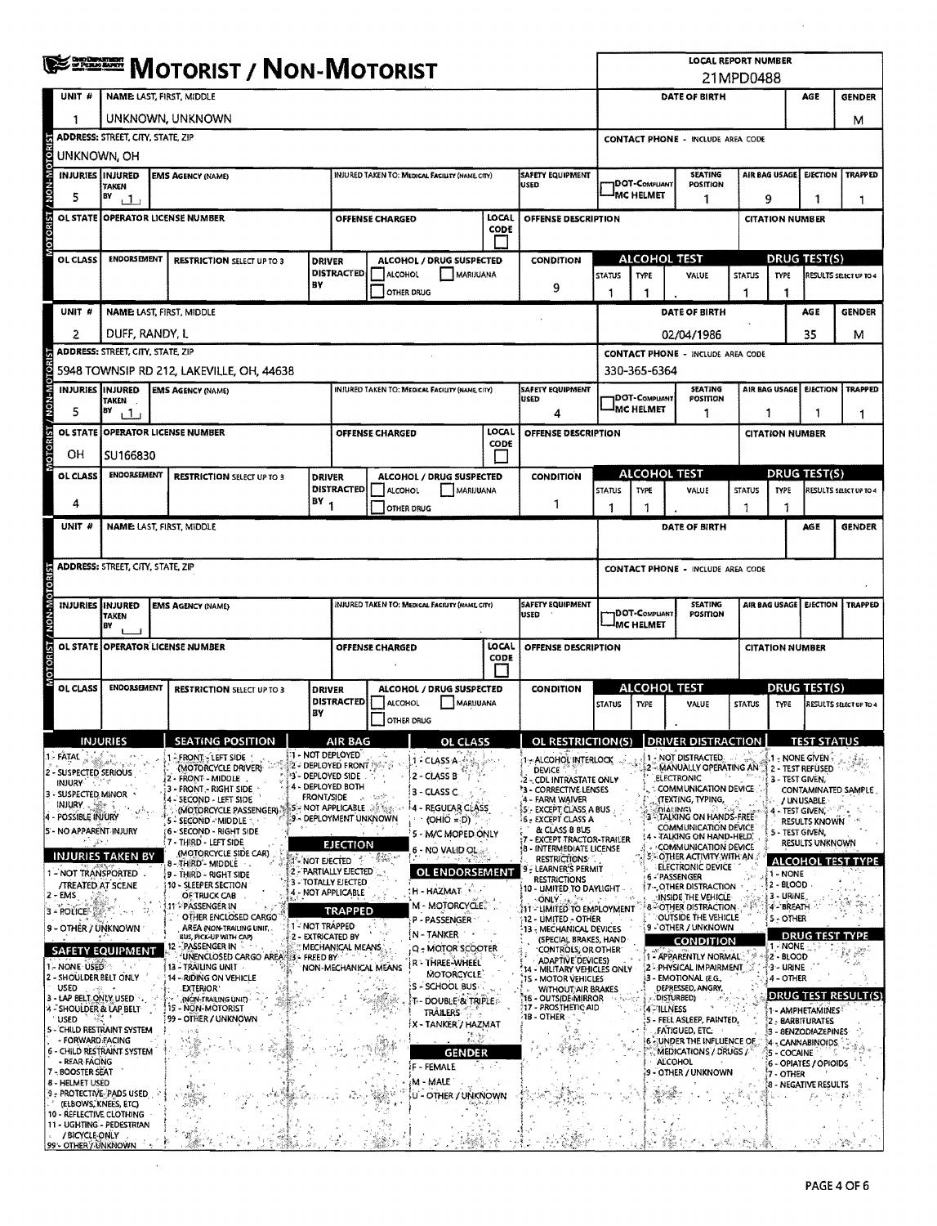| <b>WE DESCRIPT / NON-MOTORIST</b>                     |                                           |  |                                                         |                       |                                                                                               |                                                                                                                                                                                                                                                                                                                                             |                                                       |                   |                                                                                    | <b>LOCAL REPORT NUMBER</b><br>21MPD0488  |                                                           |                                                                                 |                                   |                                               |                        |                                         |                              |  |
|-------------------------------------------------------|-------------------------------------------|--|---------------------------------------------------------|-----------------------|-----------------------------------------------------------------------------------------------|---------------------------------------------------------------------------------------------------------------------------------------------------------------------------------------------------------------------------------------------------------------------------------------------------------------------------------------------|-------------------------------------------------------|-------------------|------------------------------------------------------------------------------------|------------------------------------------|-----------------------------------------------------------|---------------------------------------------------------------------------------|-----------------------------------|-----------------------------------------------|------------------------|-----------------------------------------|------------------------------|--|
|                                                       | UNIT #<br><b>NAME LAST, FIRST, MIDDLE</b> |  |                                                         |                       |                                                                                               |                                                                                                                                                                                                                                                                                                                                             |                                                       |                   |                                                                                    |                                          | DATE OF BIRTH<br>AGE                                      |                                                                                 |                                   |                                               |                        |                                         | <b>GENDER</b>                |  |
| 1                                                     | UNKNOWN, UNKNOWN                          |  |                                                         |                       |                                                                                               |                                                                                                                                                                                                                                                                                                                                             |                                                       |                   |                                                                                    |                                          |                                                           |                                                                                 |                                   |                                               |                        |                                         | М                            |  |
| z                                                     | ADDRESS: STREET, CITY, STATE, ZIP         |  |                                                         |                       |                                                                                               |                                                                                                                                                                                                                                                                                                                                             |                                                       |                   |                                                                                    | <b>CONTACT PHONE - INCLUDE AREA CODE</b> |                                                           |                                                                                 |                                   |                                               |                        |                                         |                              |  |
|                                                       | UNKNOWN, OH                               |  |                                                         |                       |                                                                                               |                                                                                                                                                                                                                                                                                                                                             |                                                       |                   |                                                                                    |                                          |                                                           |                                                                                 |                                   |                                               |                        |                                         |                              |  |
| OTORIST / NON-MOTOR<br>INJURIES INJURED               | <b>TAKEN</b>                              |  | <b>EMS AGENCY (NAME)</b>                                |                       |                                                                                               |                                                                                                                                                                                                                                                                                                                                             | <b>INJURED TAKEN TO: MEDICAL FACILITY (NAME CITY)</b> |                   | SAFETY EQUIPMENT<br><b>USED</b>                                                    |                                          | DOT-COMPLIANT                                             |                                                                                 | <b>SEATING</b><br>POSITION        | <b>AIR BAG USAGE</b>                          |                        | <b>EJECTION</b>                         | <b>TRAPPED</b>               |  |
| 5                                                     | BY<br>ا ل                                 |  |                                                         |                       |                                                                                               |                                                                                                                                                                                                                                                                                                                                             |                                                       |                   |                                                                                    |                                          | <sup>I</sup> MC HELMET                                    |                                                                                 | 1                                 | 9                                             |                        | 1                                       | 1                            |  |
|                                                       |                                           |  | OL STATE OPERATOR LICENSE NUMBER                        |                       |                                                                                               | <b>OFFENSE CHARGED</b>                                                                                                                                                                                                                                                                                                                      |                                                       | LOCAL<br>CODE     | <b>OFFENSE DESCRIPTION</b>                                                         |                                          |                                                           |                                                                                 |                                   | <b>CITATION NUMBER</b>                        |                        |                                         |                              |  |
|                                                       |                                           |  |                                                         |                       |                                                                                               |                                                                                                                                                                                                                                                                                                                                             |                                                       | Ιł                |                                                                                    |                                          |                                                           |                                                                                 |                                   |                                               |                        |                                         |                              |  |
| OL CLASS                                              | ENDORSEMENT                               |  | <b>RESTRICTION SELECT UP TO 3</b>                       |                       | <b>DRIVER</b><br><b>DISTRACTED</b>                                                            |                                                                                                                                                                                                                                                                                                                                             | ALCOHOL / DRUG SUSPECTED                              |                   | <b>CONDITION</b>                                                                   |                                          |                                                           | ALCOHOL TEST                                                                    |                                   | <b>DRUG TEST(S)</b><br>RESULTS SELECT UP TO 4 |                        |                                         |                              |  |
|                                                       |                                           |  |                                                         | BY                    |                                                                                               | ALCOHOL                                                                                                                                                                                                                                                                                                                                     | OTHER DRUG                                            | MARIJUANA         | 9                                                                                  | <b>STATUS</b><br>1                       | <b>TYPE</b><br>-1                                         | VALUE                                                                           |                                   | <b>STATUS</b><br>1                            | <b>TYPE</b><br>1       |                                         |                              |  |
| UNIT <sub>#</sub>                                     |                                           |  | <b>NAME LAST, FIRST, MIDDLE</b>                         |                       |                                                                                               |                                                                                                                                                                                                                                                                                                                                             |                                                       |                   |                                                                                    |                                          |                                                           | DATE OF BIRTH                                                                   |                                   |                                               |                        | AGE                                     | <b>GENDER</b>                |  |
| 2                                                     | DUFF, RANDY, L                            |  |                                                         |                       |                                                                                               |                                                                                                                                                                                                                                                                                                                                             |                                                       |                   |                                                                                    |                                          |                                                           | 02/04/1986                                                                      |                                   |                                               |                        | 35                                      | м                            |  |
|                                                       | <b>ADDRESS: STREET, CITY, STATE, ZIP</b>  |  |                                                         |                       |                                                                                               |                                                                                                                                                                                                                                                                                                                                             |                                                       |                   |                                                                                    |                                          |                                                           | <b>CONTACT PHONE - INCLUDE AREA CODE</b>                                        |                                   |                                               |                        |                                         |                              |  |
|                                                       |                                           |  | 5948 TOWNSIP RD 212, LAKEVILLE, OH, 44638               |                       |                                                                                               |                                                                                                                                                                                                                                                                                                                                             |                                                       |                   |                                                                                    |                                          | 330-365-6364                                              |                                                                                 |                                   |                                               |                        |                                         |                              |  |
|                                                       | <b>INJURIES IINJURED</b><br>TAKEN         |  | <b>EMS AGENCY (NAME)</b>                                |                       |                                                                                               |                                                                                                                                                                                                                                                                                                                                             | INJURED TAKEN TO: MEDICAL FACILITY (NAME CITY)        |                   | SAFETY EQUIPMENT<br><b>USED</b>                                                    |                                          | <b>IDOT-COMPUANT</b>                                      |                                                                                 | <b>SEATING</b><br><b>POSITION</b> | AIR BAG USAGE<br><b>EJECTION</b>              |                        | <b>TRAPPED</b>                          |                              |  |
| 5                                                     | BY<br>11                                  |  |                                                         |                       |                                                                                               |                                                                                                                                                                                                                                                                                                                                             |                                                       |                   | 4                                                                                  |                                          | <b>IMC HELMET</b>                                         |                                                                                 | 1                                 | 1<br>1                                        |                        | 1                                       |                              |  |
| MOTORIST / NON-MOTOR<br>OL STATE                      |                                           |  | <b>OPERATOR LICENSE NUMBER</b>                          |                       |                                                                                               | OFFENSE CHARGED                                                                                                                                                                                                                                                                                                                             |                                                       | LOCAL<br>CODE     | <b>OFFENSE DESCRIPTION</b>                                                         |                                          |                                                           |                                                                                 |                                   | <b>CITATION NUMBER</b>                        |                        |                                         |                              |  |
| OН                                                    | SU166830                                  |  |                                                         |                       |                                                                                               |                                                                                                                                                                                                                                                                                                                                             |                                                       |                   |                                                                                    |                                          |                                                           |                                                                                 |                                   |                                               |                        |                                         |                              |  |
| OL CLASS                                              | <b>ENDORSEMENT</b>                        |  | <b>RESTRICTION SELECT UP TO 3</b>                       |                       | <b>DRIVER</b>                                                                                 |                                                                                                                                                                                                                                                                                                                                             | ALCOHOL / DRUG SUSPECTED                              |                   | <b>CONDITION</b>                                                                   |                                          |                                                           | <b>ALCOHOL TEST</b>                                                             |                                   |                                               |                        | DRUG TEST(S)                            |                              |  |
| 4                                                     |                                           |  |                                                         | $(BY_1$               | <b>DISTRACTED</b>                                                                             | <b>ALCOHOL</b>                                                                                                                                                                                                                                                                                                                              | MARIJUANA<br>OTHER DRUG                               |                   | 1                                                                                  | <b>STATUS</b><br>1                       | TYPE<br>1                                                 | VALUE                                                                           |                                   | <b>STATUS</b><br>1                            | <b>TYPE</b><br>1       |                                         | RESULTS SELECT UP TO 4       |  |
| UNIT #                                                |                                           |  | <b>NAME: LAST, FIRST, MIDDLE</b>                        |                       |                                                                                               |                                                                                                                                                                                                                                                                                                                                             |                                                       |                   |                                                                                    |                                          |                                                           | DATE OF BIRTH                                                                   |                                   |                                               |                        | AGE                                     | <b>GENDER</b>                |  |
|                                                       |                                           |  |                                                         |                       |                                                                                               |                                                                                                                                                                                                                                                                                                                                             |                                                       |                   |                                                                                    |                                          |                                                           |                                                                                 |                                   |                                               |                        |                                         |                              |  |
|                                                       | ADDRESS: STREET, CITY, STATE, ZIP         |  |                                                         |                       |                                                                                               |                                                                                                                                                                                                                                                                                                                                             |                                                       |                   |                                                                                    |                                          |                                                           | CONTACT PHONE - INCLUDE AREA CODE                                               |                                   |                                               |                        |                                         |                              |  |
|                                                       |                                           |  |                                                         |                       |                                                                                               |                                                                                                                                                                                                                                                                                                                                             |                                                       |                   |                                                                                    |                                          |                                                           |                                                                                 |                                   |                                               |                        |                                         |                              |  |
|                                                       | INJURIES IINJURED<br><b>TAKEN</b>         |  | <b>EMS AGENCY (NAME)</b>                                |                       |                                                                                               |                                                                                                                                                                                                                                                                                                                                             | INJURED TAKEN TO: MEDICAL FACIUTY (NAME CITY)         |                   | SAFETY EQUIPMENT<br><b>USED</b>                                                    |                                          | <b>SEATING</b><br><b>1DOT-COMPUANT</b><br><b>POSITION</b> |                                                                                 |                                   | AIR BAG USAGE                                 |                        | <b>EJECTION</b>                         | <b>TRAPPED</b>               |  |
| MOTORIST / NON-MOTORI                                 | BY                                        |  |                                                         |                       |                                                                                               |                                                                                                                                                                                                                                                                                                                                             |                                                       | <b>IMC HELMET</b> |                                                                                    |                                          |                                                           |                                                                                 |                                   |                                               |                        |                                         |                              |  |
| <b>OL STATE</b>                                       |                                           |  | <b>OPERATOR LICENSE NUMBER</b>                          |                       | LOCAL<br>OFFENSE CHARGED<br><b>OFFENSE DESCRIPTION</b><br>CODE                                |                                                                                                                                                                                                                                                                                                                                             |                                                       |                   |                                                                                    |                                          |                                                           |                                                                                 |                                   | <b>CITATION NUMBER</b>                        |                        |                                         |                              |  |
|                                                       |                                           |  |                                                         |                       |                                                                                               |                                                                                                                                                                                                                                                                                                                                             |                                                       | ALCOHOL TEST      |                                                                                    |                                          |                                                           |                                                                                 | DRUG TEST(S)                      |                                               |                        |                                         |                              |  |
| OL CLASS                                              | <b>ENDORSEMENT</b>                        |  | <b>RESTRICTION SELECT UP TO 3</b>                       |                       | ALCOHOL / DRUG SUSPECTED<br><b>DRIVER</b><br><b>DISTRACTED</b><br><b>ALCOHOL</b><br>MARIJUANA |                                                                                                                                                                                                                                                                                                                                             |                                                       | <b>CONDITION</b>  | <b>STATUS</b>                                                                      | TYPE                                     | VALUE                                                     |                                                                                 | <b>STATUS</b>                     | TYPE                                          |                        | RESULTS SELECT UP TO 4                  |                              |  |
|                                                       |                                           |  |                                                         | BΥ                    |                                                                                               |                                                                                                                                                                                                                                                                                                                                             | OTHER DRUG                                            |                   |                                                                                    |                                          |                                                           |                                                                                 |                                   |                                               |                        |                                         |                              |  |
|                                                       | <b>INJURIES</b>                           |  | <b>SEATING POSITION</b>                                 |                       | AIR BAG                                                                                       |                                                                                                                                                                                                                                                                                                                                             | OL CLASS                                              |                   | OL RESTRICTION(S) DRIVER DISTRACTION                                               |                                          |                                                           |                                                                                 |                                   |                                               |                        | <b>TEST STATUS</b>                      |                              |  |
| FATAL<br>- SUSPECTED SERIOUS                          | Er en e                                   |  | I - FRONT, LEFT SIDE<br>(MOTORCYCLE DRIVER)             |                       | 1 - NOT DEPLOYED<br><b>2 - DEPLOYED FRONT PRESS</b>                                           |                                                                                                                                                                                                                                                                                                                                             | 1 - CLASS A                                           |                   | I – ALCOHOL INTERLOCK<br>DEVICE                                                    |                                          |                                                           | 1 - NOT DISTRACTED.<br>2 - MANUALLY OPERATING AN                                |                                   |                                               |                        | $1$ - NONE GIVEN -<br>2 - TEST REFÚSED  |                              |  |
| <b>INJURY</b><br>3 - SUSPECTED MINOR *                |                                           |  | 2 - FRONT - MIDDLE<br>3 - FRONT - RIGHT SIDE            |                       | 3 - DEPLOYED SIDE<br>4 - DEPLOYED BOTH                                                        |                                                                                                                                                                                                                                                                                                                                             | 2 - CLASS B<br>l 3 - CLASS C.                         |                   | - CDL INTRASTATE ONLY<br>3- CORRECTIVE LENSES                                      |                                          |                                                           | <b>ELECTRONIC</b><br>COMMUNICATION DEVICE                                       |                                   |                                               | 3 - TEST GIVEN,        |                                         | CONTAMINATED SAMPLE          |  |
| INJURY .<br>POSSIBLE INJURY                           | *exter                                    |  | 4 - SECOND - LEFT SIDE<br>(MOTORCYCLE PASSENGER)        |                       | <b>FRONT/SIDE</b><br><b>ISH NOT APPLICABLE</b> . DRESSIN                                      | ್ತು. ಮಾನ್                                                                                                                                                                                                                                                                                                                                   | F4 - REGULAR CLASS                                    |                   | 4 - FARM WAIVER<br>5 - Except Class a Bus                                          |                                          |                                                           | (TEXTING, TYPING,<br><b>DIALING!</b>                                            |                                   |                                               |                        | / UNUSABLE<br>- TEST GIVEN,             |                              |  |
| 5 - NO APPARENT INJURY                                |                                           |  | 5 - SECOND - MIDDLE<br>(6 - SECOND - RIGHT SIDE         |                       | 9 - DEPLOYMENT UNKNOWN                                                                        |                                                                                                                                                                                                                                                                                                                                             | $(OHIO = D)$<br>5 - M/C MOPED ONLY                    |                   | <b>6 - EXCEPT CLASS A</b><br>& CLASS B BUS                                         |                                          |                                                           | <b>TALKING ON HANDS-FREE</b><br>COMMUNICATION DEVICE<br>- TALKING ON HAND-HELD) |                                   |                                               | 5 - TEST GIVEN,        | <b>RESULTS KNOWN</b>                    |                              |  |
| ी क्रीट                                               | INJURIES TAKEN BY                         |  | (7 - THIRD - LEFT SIDE<br>(MOTORCYCLE SIDE CAR)         |                       | <b>EJECTION</b>                                                                               | $\sum_{i=1}^{n} \sum_{i=1}^{n} \sum_{j=1}^{n} \sum_{j=1}^{n} \sum_{j=1}^{n} \sum_{j=1}^{n} \sum_{j=1}^{n} \sum_{j=1}^{n} \sum_{j=1}^{n} \sum_{j=1}^{n} \sum_{j=1}^{n} \sum_{j=1}^{n} \sum_{j=1}^{n} \sum_{j=1}^{n} \sum_{j=1}^{n} \sum_{j=1}^{n} \sum_{j=1}^{n} \sum_{j=1}^{n} \sum_{j=1}^{n} \sum_{j=1}^{n} \sum_{j=1}^{n} \sum_{j=1}^{n}$ | 6 - NO VALID OL                                       |                   | - EXCEPT TRACTOR-TRAILER<br><b>8 - INTERMEDIATE LICENSE</b><br><b>RESTRICTIONS</b> |                                          |                                                           | COMMUNICATION DEVICE<br>5% OTHER ACTIVITY WITH AN                               |                                   |                                               |                        | RESULTS UNKNOWN                         |                              |  |
| - NOT TRANSPORTED                                     |                                           |  | 8 - THIRD" - MIDDLE<br>9 - THIRD - RIGHT SIDE           | <b>IT NOT ELECTED</b> | 2 - PARTIALLY EJECTED                                                                         |                                                                                                                                                                                                                                                                                                                                             | OL ENDORSEMENT                                        |                   | : LEARNER'S PERMIT<br><b>RESTRICTIONS</b>                                          |                                          |                                                           | <b>ELECTRONIC DEVICE</b><br><b>6 - PASSENGER</b>                                |                                   |                                               | 1 - NONE               |                                         | <b>ALCOHOL TEST TYPE</b>     |  |
| <b>/TREATED AT SCENE</b><br>2 - EMS                   |                                           |  | 10 - SLEEPER SECTION<br>OF TRUCK CAB                    |                       | <b>3 - TOTALLY EJECTED</b><br>4 - NOT APPLICABLE                                              |                                                                                                                                                                                                                                                                                                                                             | :H - HAZMAT                                           |                   | 10 - UMITED TO DAYLIGHT<br>ONLY ALL PRE                                            |                                          |                                                           | 7 - OTHER DISTRACTION<br>INSIDE THE VEHICLE                                     |                                   |                                               | 2 - BLOOD<br>3 - URINE |                                         |                              |  |
| $3 - \text{POLICE} \sim \text{SSE} \times 1$          | 计图片                                       |  | 11 - PASSENGER IN<br>OTHER ENCLOSED CARGO               |                       | <b>TRAPPED</b>                                                                                |                                                                                                                                                                                                                                                                                                                                             | <b>M - MOTORCYCLE</b><br>P - PASSENGER :              |                   | <b>AT - LIMITED TO EMPLOYMENT</b><br>12 - UMITED - OTHER                           |                                          |                                                           | <b>8 COTHER DISTRACTION</b><br>OUTSIDE THE VEHICLE                              |                                   |                                               | 4 - BREATH<br>5 OTHER  |                                         | $\mathbf{a}_i$<br><b>Sec</b> |  |
| 9 - OTHER / UNKNOWN                                   |                                           |  | AREA (NON-TRAILING UNIT,<br>BUS, PICK-UP WITH CAP)      | 1 - NOT TRAPPED       | 2 - EXTRICATED BY                                                                             |                                                                                                                                                                                                                                                                                                                                             | IN - TANKER                                           |                   | 13 MECHANICAL DEVICES<br>(SPECIAL BRAKES, HAND                                     |                                          |                                                           | <b>19 - OTHER / UNKNOWN</b>                                                     | <b>CONDITION</b>                  |                                               |                        | <b>DRUG TEST TYPE</b>                   |                              |  |
| <b>SAFETY EQUIPMENT</b>                               |                                           |  | 12 - PASSENGER IN<br>UNENCLOSED CARGO AREA 3 - FREED BY |                       | MECHANICAL MEANS                                                                              |                                                                                                                                                                                                                                                                                                                                             | Q - MOTOR SCOOTER<br>R - THREE-WHEEL                  |                   | <b>CONTROLS, OR OTHER</b><br><b>ADAPTIVE DEVICES)</b>                              |                                          |                                                           | 1 - APPARENTLY NORMAL                                                           |                                   |                                               | 1 - NONE<br>2 - BLOOD  |                                         |                              |  |
| 1 - NONE USED :<br>2 - SHOULDER BELT ONLY             |                                           |  | 13 - TRAILING UNIT<br>14 - RIDING ON VEHICLE            |                       | NON-MECHANICAL MEANS                                                                          |                                                                                                                                                                                                                                                                                                                                             | <b>MOTORCYCLE</b><br>S - SCHOOL BUS-                  |                   | 14 - MILITARY VEHICLES ONLY<br>1S - MOTOR VEHICLES                                 |                                          |                                                           | 2 - PHYSICAL IMPAIRMENT<br>3 - EMOTIONAL (E.G.,                                 |                                   |                                               | 3 - URINE<br>4 - OTHER |                                         |                              |  |
| USED<br>3 - LAP BELT, ONLY, USED                      |                                           |  | <b>EXTERIOR</b><br>(NON-TRAILING UNIT)                  |                       |                                                                                               |                                                                                                                                                                                                                                                                                                                                             | [ጥ- DOUBLE & TRIPLE :                                 |                   | WITHOUT:AIR BRAKES<br>16 - OUTSIDE MIRROR                                          |                                          |                                                           | DEPRESSED, ANGRY,<br>DISTURBED)                                                 |                                   |                                               |                        |                                         | <b>DRUG TEST RESULT(S)</b>   |  |
| 4 - SHOULDER & LAP BELT<br>USED                       |                                           |  | <b>15 - NON-MOTORIST</b><br>  99 – OTHER / UNKNOWN      |                       |                                                                                               |                                                                                                                                                                                                                                                                                                                                             | <b>TRAILERS</b><br>IX - TANKER / HAZMAT               |                   | 17 - PROSTHETIC AID<br>1B - OTHER                                                  |                                          |                                                           | 4 - ILLNESS<br>5 - FELL ASLEEP, FAINTED,                                        |                                   |                                               |                        | 1 - AMPHETAMINES<br>2 - BARBITURATES    |                              |  |
| 5 - CHILD RESTRAINT SYSTEM<br>- FORWARD FACING        |                                           |  |                                                         |                       |                                                                                               |                                                                                                                                                                                                                                                                                                                                             |                                                       | 義念                |                                                                                    |                                          |                                                           | <b>FATIGUED, ETC.</b><br>UNDER THE INFLUENCE OF                                 |                                   |                                               |                        | 3 - 8ENZODIAZEPINES<br>4 - CANNABINOIDS |                              |  |
| 6 - CHILD RESTRAINT SYSTEM<br>- REAR-FACING           |                                           |  |                                                         |                       |                                                                                               |                                                                                                                                                                                                                                                                                                                                             | GENDER<br>if - FEMALE                                 | ia stu            |                                                                                    |                                          |                                                           | MEDICATIONS / DRUGS /<br><b>ALCOHOL</b>                                         |                                   |                                               | 5 - COCAINE            | 6 - OPIATES / OPIOIDS                   |                              |  |
| 7 - BOOSTER SEAT<br>8 - HELMET USED                   |                                           |  |                                                         |                       |                                                                                               |                                                                                                                                                                                                                                                                                                                                             | M - MALE                                              |                   |                                                                                    |                                          |                                                           | 9 - OTHER / UNKNOWN                                                             |                                   |                                               | 7 - OTHER              | 8 - NEGATIVE RESULTS                    |                              |  |
| 9 - PROTECTIVE PADS USED                              | (ELBOWS, KNEES, ETC)                      |  |                                                         |                       |                                                                                               |                                                                                                                                                                                                                                                                                                                                             | U - OTHER / UNKNOWN                                   |                   |                                                                                    |                                          |                                                           |                                                                                 |                                   |                                               |                        |                                         |                              |  |
| 10 - REFLECTIVE CLOTHING<br>11 - UGHTING - PEDESTRIAN |                                           |  |                                                         |                       |                                                                                               |                                                                                                                                                                                                                                                                                                                                             |                                                       |                   |                                                                                    |                                          |                                                           |                                                                                 |                                   |                                               |                        |                                         |                              |  |
| / BICYCLE ONLY                                        |                                           |  |                                                         |                       |                                                                                               |                                                                                                                                                                                                                                                                                                                                             |                                                       |                   |                                                                                    |                                          |                                                           |                                                                                 |                                   |                                               |                        |                                         |                              |  |

 $\sim$ 

 $\hat{A}$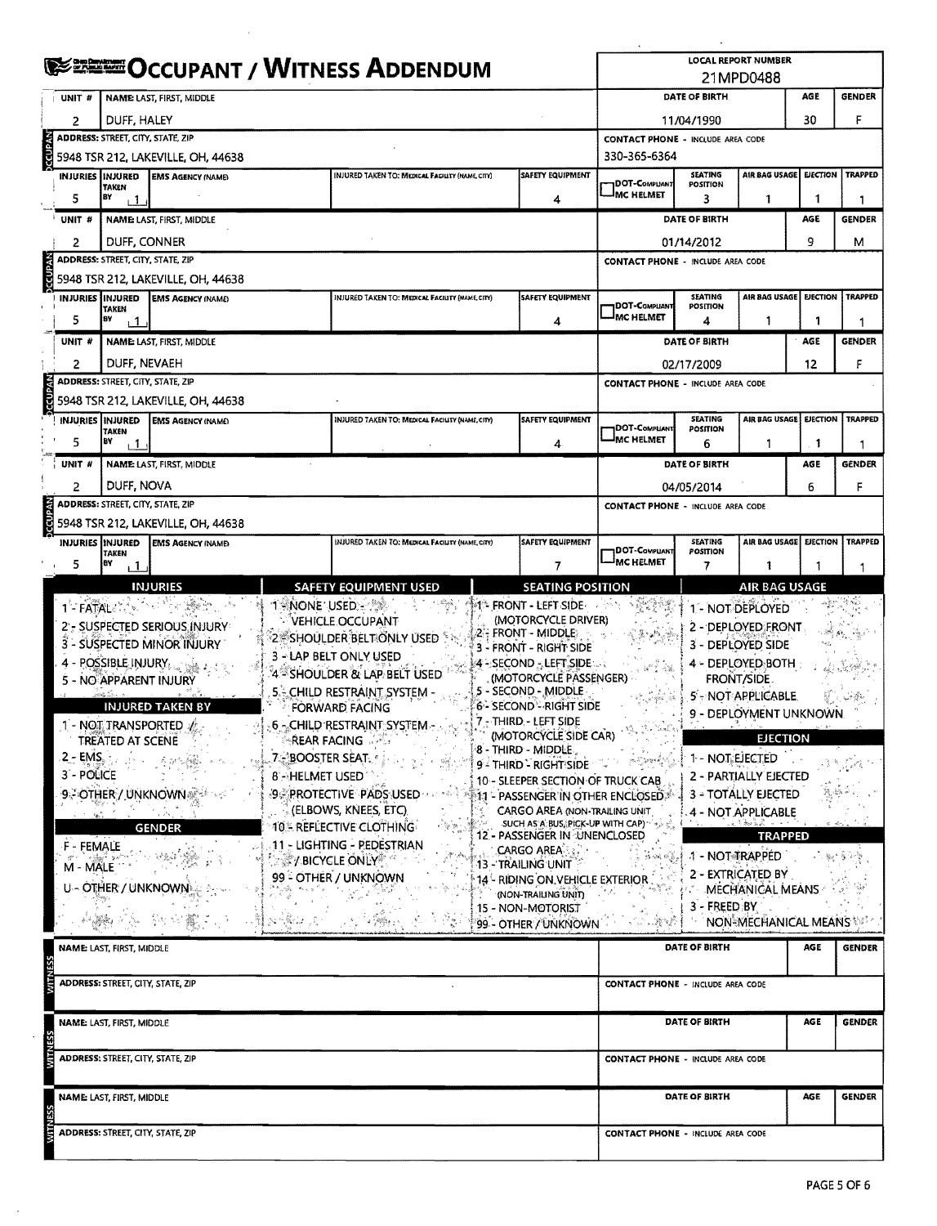|                |                          |                                          |                                         | <b>LOCAL REPORT NUMBER</b>               |                                                       |                                                                    |                                             |                                   |                                         |                 |                |  |  |
|----------------|--------------------------|------------------------------------------|-----------------------------------------|------------------------------------------|-------------------------------------------------------|--------------------------------------------------------------------|---------------------------------------------|-----------------------------------|-----------------------------------------|-----------------|----------------|--|--|
|                |                          |                                          | <b>ERETEOCCUPANT / WITNESS ADDENDUM</b> |                                          | 21MPD0488                                             |                                                                    |                                             |                                   |                                         |                 |                |  |  |
|                |                          |                                          |                                         |                                          | DATE OF BIRTH                                         |                                                                    |                                             |                                   |                                         |                 |                |  |  |
|                | UNIT #                   |                                          | NAME LAST, FIRST, MIDDLE                |                                          |                                                       |                                                                    |                                             |                                   |                                         | AGE<br>30       | <b>GENDER</b>  |  |  |
|                | 2                        | DUFF, HALEY                              |                                         | 11/04/1990                               | F                                                     |                                                                    |                                             |                                   |                                         |                 |                |  |  |
| <b>CCUPAN</b>  |                          | ADDRESS: STREET, CITY, STATE, ZIP        |                                         | <b>CONTACT PHONE - INCLUDE AREA CODE</b> |                                                       |                                                                    |                                             |                                   |                                         |                 |                |  |  |
|                |                          |                                          | 5948 TSR 212, LAKEVILLE, OH, 44638      | 330-365-6364                             |                                                       | AIR BAG USAGE EJECTION                                             |                                             |                                   |                                         |                 |                |  |  |
|                | <b>INJURIES IINJURED</b> | TAKEN                                    | <b>EMS AGENCY (NAME)</b>                |                                          | INJURED TAKEN TO: MEDICAL FACILITY (NAME, CITY)       | <b>SAFETY EQUIPMENT</b>                                            | DOT-Compuant                                | <b>SEATING</b><br><b>POSITION</b> |                                         |                 | <b>TRAPPED</b> |  |  |
|                | 5                        | BY<br>ı 1                                |                                         |                                          |                                                       | 4                                                                  | <b>IMC HELMET</b>                           | 3                                 | 1                                       | 1               | 1              |  |  |
|                | UNIT <sup>#</sup>        |                                          | NAME LAST, FIRST, MIDDLE                |                                          |                                                       |                                                                    |                                             | DATE OF BIRTH                     |                                         | AGE             | <b>GENDER</b>  |  |  |
|                | 2                        | DUFF, CONNER                             |                                         |                                          |                                                       |                                                                    | 9<br>01/14/2012                             |                                   |                                         |                 |                |  |  |
|                |                          | ADDRESS: STREET, CITY, STATE, ZIP        |                                         |                                          |                                                       |                                                                    | <b>CONTACT PHONE - INCLUDE AREA CODE</b>    |                                   |                                         |                 |                |  |  |
| <b>IVdn23</b>  |                          |                                          | 5948 TSR 212, LAKEVILLE, OH, 44638      |                                          |                                                       |                                                                    |                                             |                                   |                                         |                 |                |  |  |
|                | <b>INJURIES INJURED</b>  |                                          | <b>EMS AGENCY (NAME)</b>                |                                          | INJURED TAKEN TO: MEDICAL FACILITY (NAME, CITY)       | SAFETY EQUIPMENT                                                   | <b>DOT-COMPUANT</b>                         | <b>SEATING</b><br>POSITION        | AIR BAG USAGE EJECTION                  |                 | <b>TRAPPED</b> |  |  |
|                | 5                        | <b>TAKEN</b><br>BY<br>1،                 |                                         |                                          |                                                       | 4                                                                  | <sup>I</sup> MC HELMET                      | 4                                 | 1                                       | 1               |                |  |  |
|                | UNIT #                   |                                          | NAME: LAST, FIRST, MIDDLE               |                                          |                                                       |                                                                    | DATE OF BIRTH                               |                                   |                                         | AGE             | <b>GENDER</b>  |  |  |
|                | 2                        | DUFF, NEVAEH                             |                                         |                                          |                                                       |                                                                    |                                             | 02/17/2009                        |                                         | 12              | F              |  |  |
|                |                          | <b>ADDRESS: STREET, CITY, STATE, ZIP</b> |                                         |                                          |                                                       |                                                                    | <b>CONTACT PHONE - INCLUDE AREA CODE</b>    |                                   |                                         |                 |                |  |  |
| <b>ORANDOC</b> |                          |                                          | 5948 TSR 212, LAKEVILLE, OH, 44638      |                                          |                                                       |                                                                    |                                             |                                   |                                         |                 |                |  |  |
|                |                          | INJURIES   INJURED                       | <b>EMS AGENCY (NAME)</b>                |                                          | INJURED TAKEN TO: MEDICAL FACIUTY (NAME, CITY)        | SAFETY EQUIPMENT                                                   |                                             | <b>SEATING</b>                    | AIR BAG USAGE                           | <b>EJECTION</b> | <b>TRAPPED</b> |  |  |
|                |                          | <b>TAKEN</b>                             |                                         |                                          |                                                       |                                                                    | DOT-COMPLIANT<br><b>MC HELMET</b>           | POSITION                          |                                         |                 |                |  |  |
|                | 5                        | BY<br>, 1                                |                                         |                                          |                                                       | 4.                                                                 |                                             | 6                                 | 1                                       | -1              | 1              |  |  |
|                | UNIT #                   |                                          | <b>NAME: LAST, FIRST, MIDDLE</b>        |                                          |                                                       |                                                                    |                                             | DATE OF BIRTH                     |                                         | AGE             | <b>GENDER</b>  |  |  |
|                | 2                        | DUFF, NOVA                               |                                         |                                          |                                                       |                                                                    |                                             | 04/05/2014                        |                                         | 6               | F              |  |  |
|                |                          | ADDRESS: STREET, CITY, STATE, ZIP        |                                         |                                          |                                                       |                                                                    | <b>CONTACT PHONE - INCLUDE AREA CODE</b>    |                                   |                                         |                 |                |  |  |
| Visinos        |                          |                                          | 5948 TSR 212, LAKEVILLE, OH, 44638      |                                          |                                                       |                                                                    |                                             |                                   |                                         |                 |                |  |  |
|                |                          | <b>INJURIES INJURED</b><br><b>TAKEN</b>  | <b>EMS AGENCY (NAME)</b>                |                                          | INJURED TAKEN TO: MEDICAL FACILITY (NAME, CITY)       | <b>SAFETY EQUIPMENT</b>                                            | DOT-COMPLIANT                               | <b>SEATING</b><br>POSITION        | AIR BAG USAGE                           | <b>EJECTION</b> | <b>TRAPPED</b> |  |  |
|                | 5                        | BY<br>, 1                                |                                         |                                          |                                                       | 7                                                                  | <sup>I</sup> MC HELMET                      | 7                                 | 1                                       |                 |                |  |  |
|                |                          |                                          | <b>INJURIES</b>                         |                                          | <b>SAFETY EQUIPMENT USED</b>                          | <b>SEATING POSITION</b>                                            |                                             |                                   | <b>AIR BAG USAGE</b>                    |                 |                |  |  |
|                |                          | 1-FATAL :                                | 하던 작품물 가                                | T NONE USED -                            |                                                       | $M$ front - Left side $\cdot$                                      |                                             |                                   | 1 - NOT DEPLOYED                        |                 |                |  |  |
|                |                          |                                          | 2' - SUSPECTED SERIOUS INJURY           |                                          | <b>MEHICLE OCCUPANT</b>                               | (MOTORCYCLE DRIVER)                                                |                                             |                                   | 2 - DEPLOYED FRONT                      |                 |                |  |  |
|                |                          |                                          | 3 - SUSPECTED MINOR INJURY              |                                          | $2$ Shoulder Belt only used $5$                       | 2 - FRONT - MIDDLE<br>3 - FRONT - RIGHT SIDE                       | 3 - DEPLOYED SIDE                           |                                   |                                         |                 |                |  |  |
|                |                          |                                          | - POSSIBLE INJURY,                      |                                          | 3 - LAP BELT ONLY USED                                | $4 - \text{SECOND} \cdot \text{LEFT SIDE} \ldots$                  |                                             | 4 - DEPLOYED BOTH                 |                                         |                 |                |  |  |
|                |                          | 5 - NO APPARENT INJURY                   |                                         |                                          | 4 <sup>5</sup> SHOULDER & LAP BELT USED               | (MOTORCYCLE PASSENGER)                                             |                                             |                                   | <b>FRONT/SIDE</b>                       |                 |                |  |  |
|                |                          |                                          | <b>INJURED TAKEN BY</b>                 |                                          | <b>5.4 CHILD RESTRAINT SYSTEM -</b><br>FORWARD FACING | 5 - SECOND - MIDDLE<br><b>6- SECOND<sup>-2</sup> RIGHT SIDE</b>    | 5'-NOT APPLICABLE<br>9 - DEPLOYMENT UNKNOWN |                                   |                                         |                 |                |  |  |
|                |                          | 1 - NOT TRANSPORTED                      |                                         |                                          | 6 - CHILD RESTRAINT SYSTEM -                          | 7 - THIRD - LEFT SIDE                                              |                                             |                                   |                                         |                 |                |  |  |
|                |                          | <b>TREATED AT SCENE</b>                  |                                         |                                          | ং <b>REAR FACING অস</b> ম                             | (MOTORCYCLE SIDE CAR)                                              | 고 있다.                                       |                                   | <b>EJECTION</b>                         |                 |                |  |  |
|                | $2 - EMS$ .              |                                          |                                         | <b>7. BOOSTER SEAT.</b>                  |                                                       | 8 - THIRD - MIDDLE.<br>9- THIRD - RIGHT SIDE                       |                                             |                                   | 1 - NOT EJECTED                         |                 |                |  |  |
|                | 3'- POLICE               |                                          |                                         | 8'- HELMET USED                          |                                                       | 10 - SLEEPER SECTION OF TRUCK CAB                                  |                                             |                                   | 2 - PARTIALLY EJECTED                   |                 |                |  |  |
|                |                          |                                          | <b>9-OTHER / UNKNOWN</b>                |                                          | SCRROTECTIVE PADS USED                                | 11 - PASSENGER IN OTHER ENCLOSED * -                               |                                             |                                   | 3 - TOTALLY EJECTED                     |                 |                |  |  |
|                |                          |                                          |                                         |                                          | <b>CELBOWS, KNEES, ETC.</b>                           | CARGO AREA (NON-TRAILING UNIT)<br>SUCH AS A BUS, PICK-UP WITH CAP) |                                             |                                   | 4 - NOT APPLICABLE<br>. n. l. Bro 2. J. |                 |                |  |  |
|                |                          |                                          | <b>GENDER</b>                           |                                          | <b>10 - REFLECTIVE CLOTHING</b>                       | 12 - PASSENGER IN UNENCLOSED                                       |                                             |                                   | <b>TRAPPED</b>                          |                 |                |  |  |
|                | F - FEMALE               |                                          |                                         |                                          | 11 - LIGHTING - PEDESTRIAN<br>☆ ※ Y BICYCLE ONLY ☆ ^  | $\mathsf{CARGO}$ are $\mathsf{A}\mathsf{B}$ . Then                 |                                             | उंक्र ब्रहें,∮ा - NOTबाँRAPPED    |                                         |                 | 人数传染物          |  |  |
|                | M - MALE                 |                                          |                                         |                                          | 99 - OTHER / UNKNOWN                                  | 13 - Trailing Unit<br>14 - RIDING ON VEHICLE EXTERIOR              |                                             |                                   | 2 - EXTRICATED BY                       |                 |                |  |  |
|                |                          | U - OTHER / UNKNOWN                      |                                         |                                          |                                                       | (NON-TRAILING UNIT)                                                |                                             |                                   | MECHANICAL MEANS                        |                 |                |  |  |
|                |                          |                                          |                                         |                                          |                                                       | 15 - NON-MOTORIST                                                  |                                             | 3 - FREED BY                      |                                         |                 |                |  |  |
|                |                          |                                          |                                         | 1940 Bellet 1720                         | - A - 不等) in                                          | 99 - OTHER / UNKNOWN                                               | 20 M                                        |                                   | NON-MECHANICAL MEANS                    |                 |                |  |  |
|                |                          | NAME: LAST, FIRST, MIDDLE                |                                         |                                          |                                                       |                                                                    |                                             | DATE OF BIRTH                     |                                         | AGE             | <b>GENDER</b>  |  |  |
|                |                          |                                          |                                         |                                          |                                                       |                                                                    |                                             |                                   |                                         |                 |                |  |  |
|                |                          | ADDRESS: STREET, CITY, STATE, ZIP        |                                         |                                          |                                                       |                                                                    | CONTACT PHONE - INCLUDE AREA CODE           |                                   |                                         |                 |                |  |  |
|                |                          |                                          |                                         |                                          |                                                       |                                                                    |                                             |                                   |                                         |                 |                |  |  |
|                |                          | NAME: LAST, FIRST, MIDDLE                |                                         |                                          |                                                       |                                                                    |                                             | DATE OF BIRTH                     |                                         | AGE             | <b>GENDER</b>  |  |  |
|                |                          |                                          |                                         |                                          |                                                       |                                                                    |                                             |                                   |                                         |                 |                |  |  |
|                |                          | ADDRESS: STREET, CITY, STATE, ZIP        |                                         |                                          |                                                       |                                                                    | CONTACT PHONE - INCLUDE AREA CODE           |                                   |                                         |                 |                |  |  |
|                |                          |                                          |                                         |                                          |                                                       |                                                                    |                                             |                                   |                                         |                 |                |  |  |
|                |                          | NAME: LAST, FIRST, MIDDLE                |                                         |                                          |                                                       |                                                                    | DATE OF BIRTH                               | <b>GENDER</b>                     |                                         |                 |                |  |  |
|                |                          |                                          |                                         |                                          |                                                       |                                                                    |                                             |                                   |                                         |                 |                |  |  |
|                |                          | <b>ADDRESS: STREET, CITY, STATE, ZIP</b> |                                         |                                          |                                                       |                                                                    | <b>CONTACT PHONE - INCLUDE AREA CODE</b>    |                                   |                                         |                 |                |  |  |
|                |                          |                                          |                                         |                                          |                                                       |                                                                    |                                             |                                   |                                         |                 |                |  |  |

 $\mathcal{L}^{\mathcal{L}}$